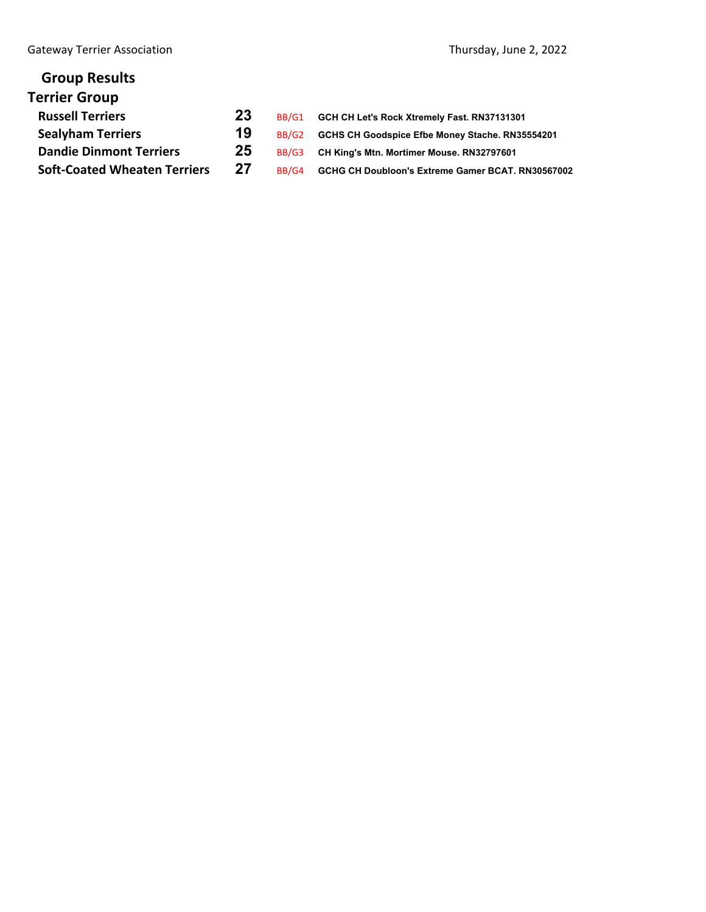| <b>Group Results</b>                |    |       |                                                   |
|-------------------------------------|----|-------|---------------------------------------------------|
| <b>Terrier Group</b>                |    |       |                                                   |
| <b>Russell Terriers</b>             | 23 | BB/G1 | GCH CH Let's Rock Xtremely Fast. RN37131301       |
| <b>Sealyham Terriers</b>            | 19 | BB/G2 | GCHS CH Goodspice Efbe Money Stache. RN35554201   |
| <b>Dandie Dinmont Terriers</b>      | 25 | BB/G3 | CH King's Mtn. Mortimer Mouse. RN32797601         |
| <b>Soft-Coated Wheaten Terriers</b> | 27 | BB/G4 | GCHG CH Doubloon's Extreme Gamer BCAT. RN30567002 |
|                                     |    |       |                                                   |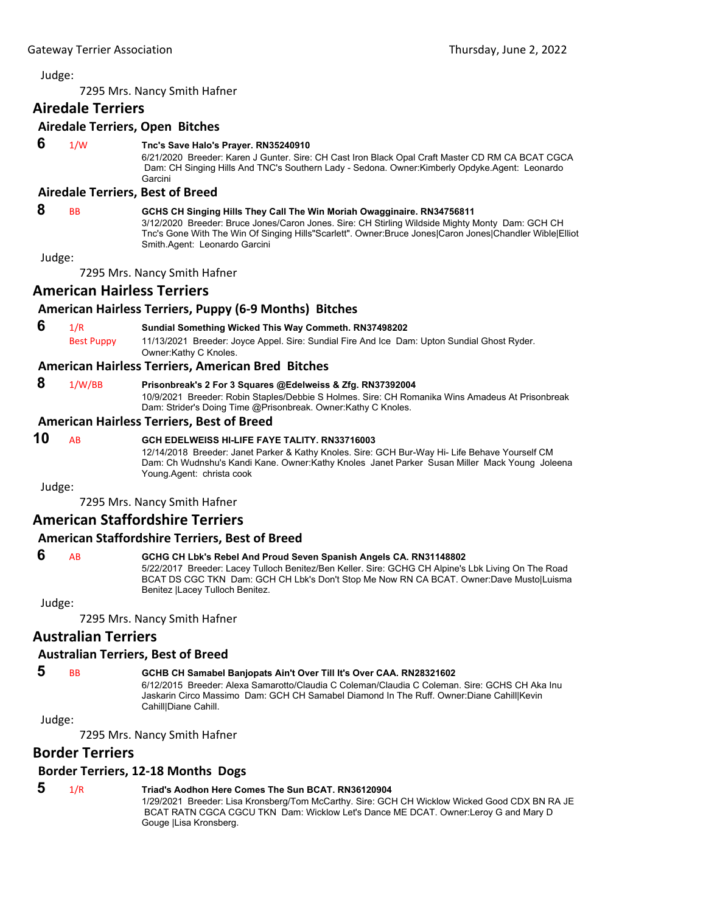7295 Mrs. Nancy Smith Hafner

## **Airedale Terriers**

## **Airedale Terriers, Open Bitches**

## **6** 1/W **Tnc's Save Halo's Prayer. RN35240910**

6/21/2020 Breeder: Karen J Gunter. Sire: CH Cast Iron Black Opal Craft Master CD RM CA BCAT CGCA Dam: CH Singing Hills And TNC's Southern Lady - Sedona. Owner:Kimberly Opdyke.Agent: Leonardo Garcini

#### **Airedale Terriers, Best of Breed**

### **8** BB **GCHS CH Singing Hills They Call The Win Moriah Owagginaire. RN34756811**

3/12/2020 Breeder: Bruce Jones/Caron Jones. Sire: CH Stirling Wildside Mighty Monty Dam: GCH CH Tnc's Gone With The Win Of Singing Hills"Scarlett". Owner:Bruce Jones|Caron Jones|Chandler Wible|Elliot Smith.Agent: Leonardo Garcini

Judge:

7295 Mrs. Nancy Smith Hafner

## **American Hairless Terriers**

## **American Hairless Terriers, Puppy (6‐9 Months) Bitches**

 **6** 1/R **Sundial Something Wicked This Way Commeth. RN37498202** Best Puppy 11/13/2021 Breeder: Joyce Appel. Sire: Sundial Fire And Ice Dam: Upton Sundial Ghost Ryder. Owner:Kathy C Knoles.

## **American Hairless Terriers, American Bred Bitches**

## **8** 1/W/BB **Prisonbreak's 2 For 3 Squares @Edelweiss & Zfg. RN37392004**

10/9/2021 Breeder: Robin Staples/Debbie S Holmes. Sire: CH Romanika Wins Amadeus At Prisonbreak Dam: Strider's Doing Time @Prisonbreak. Owner:Kathy C Knoles.

### **American Hairless Terriers, Best of Breed**

## **10** AB **GCH EDELWEISS HI-LIFE FAYE TALITY. RN33716003**

12/14/2018 Breeder: Janet Parker & Kathy Knoles. Sire: GCH Bur-Way Hi- Life Behave Yourself CM Dam: Ch Wudnshu's Kandi Kane. Owner:Kathy Knoles Janet Parker Susan Miller Mack Young Joleena Young.Agent: christa cook

Judge:

7295 Mrs. Nancy Smith Hafner

## **American Staffordshire Terriers**

## **American Staffordshire Terriers, Best of Breed**

#### **6** AB **GCHG CH Lbk's Rebel And Proud Seven Spanish Angels CA. RN31148802**

5/22/2017 Breeder: Lacey Tulloch Benitez/Ben Keller. Sire: GCHG CH Alpine's Lbk Living On The Road BCAT DS CGC TKN Dam: GCH CH Lbk's Don't Stop Me Now RN CA BCAT. Owner:Dave Musto|Luisma Benitez |Lacey Tulloch Benitez.

Judge:

7295 Mrs. Nancy Smith Hafner

## **Australian Terriers**

## **Australian Terriers, Best of Breed**

## **5** BB **GCHB CH Samabel Banjopats Ain't Over Till It's Over CAA. RN28321602**

6/12/2015 Breeder: Alexa Samarotto/Claudia C Coleman/Claudia C Coleman. Sire: GCHS CH Aka Inu Jaskarin Circo Massimo Dam: GCH CH Samabel Diamond In The Ruff. Owner:Diane Cahill|Kevin Cahill|Diane Cahill.

Judge:

7295 Mrs. Nancy Smith Hafner

## **Border Terriers**

### **Border Terriers, 12‐18 Months Dogs**

## **5** 1/R **Triad's Aodhon Here Comes The Sun BCAT. RN36120904**

1/29/2021 Breeder: Lisa Kronsberg/Tom McCarthy. Sire: GCH CH Wicklow Wicked Good CDX BN RA JE BCAT RATN CGCA CGCU TKN Dam: Wicklow Let's Dance ME DCAT. Owner:Leroy G and Mary D Gouge |Lisa Kronsberg.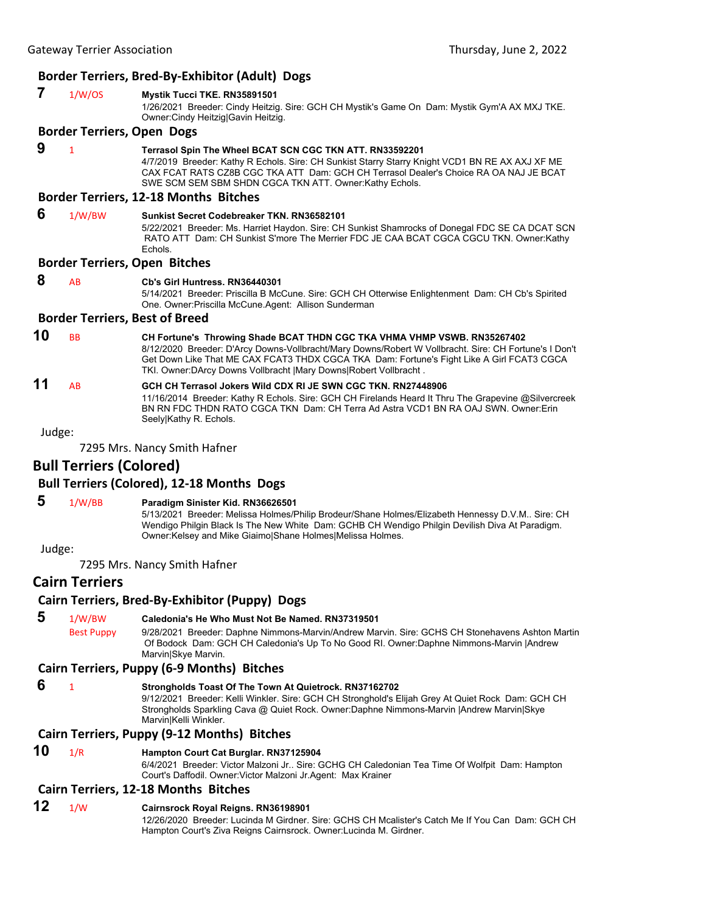## **Border Terriers, Bred‐By‐Exhibitor (Adult) Dogs**

| 7  | 1/W/OS                            | Mystik Tucci TKE. RN35891501<br>1/26/2021 Breeder: Cindy Heitzig. Sire: GCH CH Mystik's Game On Dam: Mystik Gym'A AX MXJ TKE.<br>Owner: Cindy Heitzig  Gavin Heitzig.                                                                                                                                                                                 |
|----|-----------------------------------|-------------------------------------------------------------------------------------------------------------------------------------------------------------------------------------------------------------------------------------------------------------------------------------------------------------------------------------------------------|
|    | <b>Border Terriers, Open Dogs</b> |                                                                                                                                                                                                                                                                                                                                                       |
| 9  | $\mathbf{1}$                      | Terrasol Spin The Wheel BCAT SCN CGC TKN ATT. RN33592201<br>4/7/2019 Breeder: Kathy R Echols. Sire: CH Sunkist Starry Starry Knight VCD1 BN RE AX AXJ XF ME<br>CAX FCAT RATS CZ8B CGC TKA ATT Dam: GCH CH Terrasol Dealer's Choice RA OA NAJ JE BCAT<br>SWE SCM SEM SBM SHDN CGCA TKN ATT. Owner:Kathy Echols.                                        |
|    |                                   | <b>Border Terriers, 12-18 Months Bitches</b>                                                                                                                                                                                                                                                                                                          |
| 6  | 1/W/BW                            | Sunkist Secret Codebreaker TKN, RN36582101<br>5/22/2021 Breeder: Ms. Harriet Haydon. Sire: CH Sunkist Shamrocks of Donegal FDC SE CA DCAT SCN<br>RATO ATT Dam: CH Sunkist S'more The Merrier FDC JE CAA BCAT CGCA CGCU TKN. Owner:Kathy<br>Echols.                                                                                                    |
|    |                                   | <b>Border Terriers, Open Bitches</b>                                                                                                                                                                                                                                                                                                                  |
| 8  | AB                                | Cb's Girl Huntress, RN36440301<br>5/14/2021 Breeder: Priscilla B McCune. Sire: GCH CH Otterwise Enlightenment Dam: CH Cb's Spirited<br>One. Owner: Priscilla McCune. Agent: Allison Sunderman                                                                                                                                                         |
|    |                                   | <b>Border Terriers, Best of Breed</b>                                                                                                                                                                                                                                                                                                                 |
| 10 | <b>BB</b>                         | CH Fortune's Throwing Shade BCAT THDN CGC TKA VHMA VHMP VSWB. RN35267402<br>8/12/2020 Breeder: D'Arcy Downs-Vollbracht/Mary Downs/Robert W Vollbracht. Sire: CH Fortune's I Don't<br>Get Down Like That ME CAX FCAT3 THDX CGCA TKA Dam: Fortune's Fight Like A Girl FCAT3 CGCA<br>TKI. Owner: DArcy Downs Vollbracht   Mary Downs  Robert Vollbracht. |
| 11 | AB                                | GCH CH Terrasol Jokers Wild CDX RI JE SWN CGC TKN. RN27448906<br>11/16/2014 Breeder: Kathy R Echols. Sire: GCH CH Firelands Heard It Thru The Grapevine @Silvercreek<br>BN RN FDC THDN RATO CGCA TKN Dam: CH Terra Ad Astra VCD1 BN RA OAJ SWN. Owner: Erin                                                                                           |

#### Judge:

7295 Mrs. Nancy Smith Hafner

## **Bull Terriers (Colored)**

### **Bull Terriers (Colored), 12‐18 Months Dogs**

 **5** 1/W/BB **Paradigm Sinister Kid. RN36626501**

Seely|Kathy R. Echols.

5/13/2021 Breeder: Melissa Holmes/Philip Brodeur/Shane Holmes/Elizabeth Hennessy D.V.M.. Sire: CH Wendigo Philgin Black Is The New White Dam: GCHB CH Wendigo Philgin Devilish Diva At Paradigm. Owner:Kelsey and Mike Giaimo|Shane Holmes|Melissa Holmes.

Judge:

7295 Mrs. Nancy Smith Hafner

## **Cairn Terriers**

#### **Cairn Terriers, Bred‐By‐Exhibitor (Puppy) Dogs**

 **5** 1/W/BW **Caledonia's He Who Must Not Be Named. RN37319501** Best Puppy 9/28/2021 Breeder: Daphne Nimmons-Marvin/Andrew Marvin. Sire: GCHS CH Stonehavens Ashton Martin Of Bodock Dam: GCH CH Caledonia's Up To No Good RI. Owner:Daphne Nimmons-Marvin |Andrew Marvin|Skye Marvin.

#### **Cairn Terriers, Puppy (6‐9 Months) Bitches**

## **6** <sup>1</sup> **Strongholds Toast Of The Town At Quietrock. RN37162702**

9/12/2021 Breeder: Kelli Winkler. Sire: GCH CH Stronghold's Elijah Grey At Quiet Rock Dam: GCH CH Strongholds Sparkling Cava @ Quiet Rock. Owner:Daphne Nimmons-Marvin |Andrew Marvin|Skye Marvin|Kelli Winkler.

### **Cairn Terriers, Puppy (9‐12 Months) Bitches**

#### **10** 1/R **Hampton Court Cat Burglar. RN37125904**

6/4/2021 Breeder: Victor Malzoni Jr.. Sire: GCHG CH Caledonian Tea Time Of Wolfpit Dam: Hampton Court's Daffodil. Owner:Victor Malzoni Jr.Agent: Max Krainer

#### **Cairn Terriers, 12‐18 Months Bitches**

## **12** 1/W **Cairnsrock Royal Reigns. RN36198901**

12/26/2020 Breeder: Lucinda M Girdner. Sire: GCHS CH Mcalister's Catch Me If You Can Dam: GCH CH Hampton Court's Ziva Reigns Cairnsrock. Owner:Lucinda M. Girdner.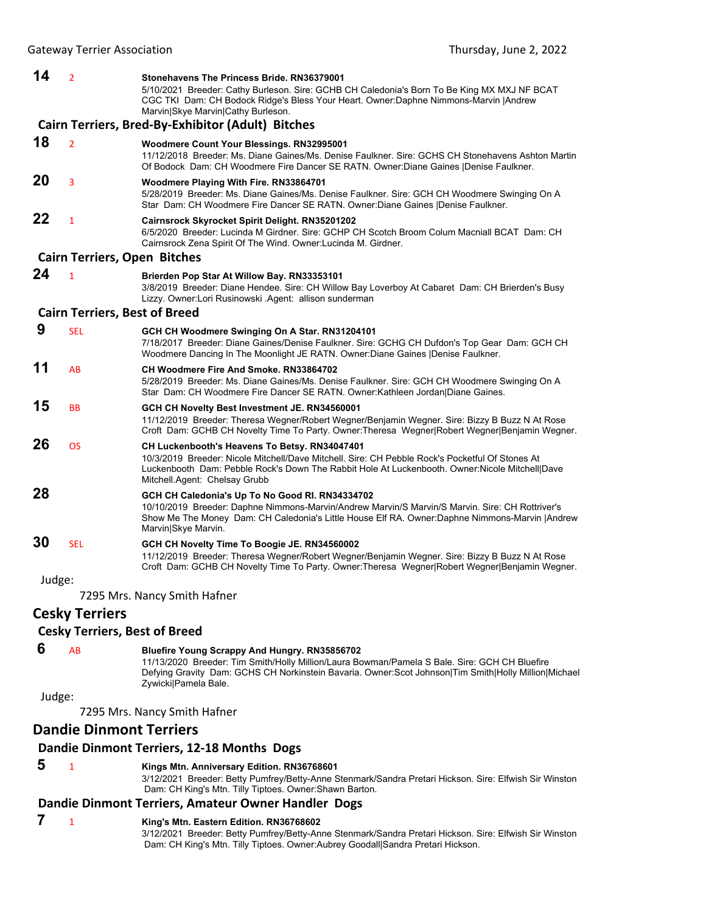**14** <sup>2</sup> **Stonehavens The Princess Bride. RN36379001** 5/10/2021 Breeder: Cathy Burleson. Sire: GCHB CH Caledonia's Born To Be King MX MXJ NF BCAT CGC TKI Dam: CH Bodock Ridge's Bless Your Heart. Owner:Daphne Nimmons-Marvin |Andrew Marvin|Skye Marvin|Cathy Burleson. **Cairn Terriers, Bred‐By‐Exhibitor (Adult) Bitches 18** <sup>2</sup> **Woodmere Count Your Blessings. RN32995001** 11/12/2018 Breeder: Ms. Diane Gaines/Ms. Denise Faulkner. Sire: GCHS CH Stonehavens Ashton Martin Of Bodock Dam: CH Woodmere Fire Dancer SE RATN. Owner:Diane Gaines |Denise Faulkner. **20** <sup>3</sup> **Woodmere Playing With Fire. RN33864701** 5/28/2019 Breeder: Ms. Diane Gaines/Ms. Denise Faulkner. Sire: GCH CH Woodmere Swinging On A Star Dam: CH Woodmere Fire Dancer SE RATN. Owner:Diane Gaines |Denise Faulkner. **22** <sup>1</sup> **Cairnsrock Skyrocket Spirit Delight. RN35201202** 6/5/2020 Breeder: Lucinda M Girdner. Sire: GCHP CH Scotch Broom Colum Macniall BCAT Dam: CH Cairnsrock Zena Spirit Of The Wind. Owner:Lucinda M. Girdner. **Cairn Terriers, Open Bitches 24** <sup>1</sup> **Brierden Pop Star At Willow Bay. RN33353101** 3/8/2019 Breeder: Diane Hendee. Sire: CH Willow Bay Loverboy At Cabaret Dam: CH Brierden's Busy Lizzy. Owner:Lori Rusinowski .Agent: allison sunderman **Cairn Terriers, Best of Breed 9** SEL **GCH CH Woodmere Swinging On A Star. RN31204101** 7/18/2017 Breeder: Diane Gaines/Denise Faulkner. Sire: GCHG CH Dufdon's Top Gear Dam: GCH CH Woodmere Dancing In The Moonlight JE RATN. Owner:Diane Gaines |Denise Faulkner. **11** AB **CH Woodmere Fire And Smoke. RN33864702** 5/28/2019 Breeder: Ms. Diane Gaines/Ms. Denise Faulkner. Sire: GCH CH Woodmere Swinging On A Star Dam: CH Woodmere Fire Dancer SE RATN. Owner:Kathleen Jordan|Diane Gaines. **15** BB **GCH CH Novelty Best Investment JE. RN34560001** 11/12/2019 Breeder: Theresa Wegner/Robert Wegner/Benjamin Wegner. Sire: Bizzy B Buzz N At Rose Croft Dam: GCHB CH Novelty Time To Party. Owner:Theresa Wegner|Robert Wegner|Benjamin Wegner. **26** OS **CH Luckenbooth's Heavens To Betsy. RN34047401** 10/3/2019 Breeder: Nicole Mitchell/Dave Mitchell. Sire: CH Pebble Rock's Pocketful Of Stones At Luckenbooth Dam: Pebble Rock's Down The Rabbit Hole At Luckenbooth. Owner:Nicole Mitchell|Dave Mitchell.Agent: Chelsay Grubb **28 GCH CH Caledonia's Up To No Good RI. RN34334702** 10/10/2019 Breeder: Daphne Nimmons-Marvin/Andrew Marvin/S Marvin/S Marvin. Sire: CH Rottriver's Show Me The Money Dam: CH Caledonia's Little House Elf RA. Owner:Daphne Nimmons-Marvin |Andrew Marvin|Skye Marvin. **30** SEL **GCH CH Novelty Time To Boogie JE. RN34560002** 11/12/2019 Breeder: Theresa Wegner/Robert Wegner/Benjamin Wegner. Sire: Bizzy B Buzz N At Rose Croft Dam: GCHB CH Novelty Time To Party. Owner:Theresa Wegner|Robert Wegner|Benjamin Wegner. Judge: 7295 Mrs. Nancy Smith Hafner

## **Cesky Terriers**

## **Cesky Terriers, Best of Breed**

## **6** AB **Bluefire Young Scrappy And Hungry. RN35856702**

11/13/2020 Breeder: Tim Smith/Holly Million/Laura Bowman/Pamela S Bale. Sire: GCH CH Bluefire Defying Gravity Dam: GCHS CH Norkinstein Bavaria. Owner:Scot Johnson|Tim Smith|Holly Million|Michael Zywicki|Pamela Bale.

Judge:

7295 Mrs. Nancy Smith Hafner

## **Dandie Dinmont Terriers**

## **Dandie Dinmont Terriers, 12‐18 Months Dogs**

## **5** <sup>1</sup> **Kings Mtn. Anniversary Edition. RN36768601**

3/12/2021 Breeder: Betty Pumfrey/Betty-Anne Stenmark/Sandra Pretari Hickson. Sire: Elfwish Sir Winston Dam: CH King's Mtn. Tilly Tiptoes. Owner:Shawn Barton.

## **Dandie Dinmont Terriers, Amateur Owner Handler Dogs**

## **7** <sup>1</sup> **King's Mtn. Eastern Edition. RN36768602**

3/12/2021 Breeder: Betty Pumfrey/Betty-Anne Stenmark/Sandra Pretari Hickson. Sire: Elfwish Sir Winston Dam: CH King's Mtn. Tilly Tiptoes. Owner:Aubrey Goodall|Sandra Pretari Hickson.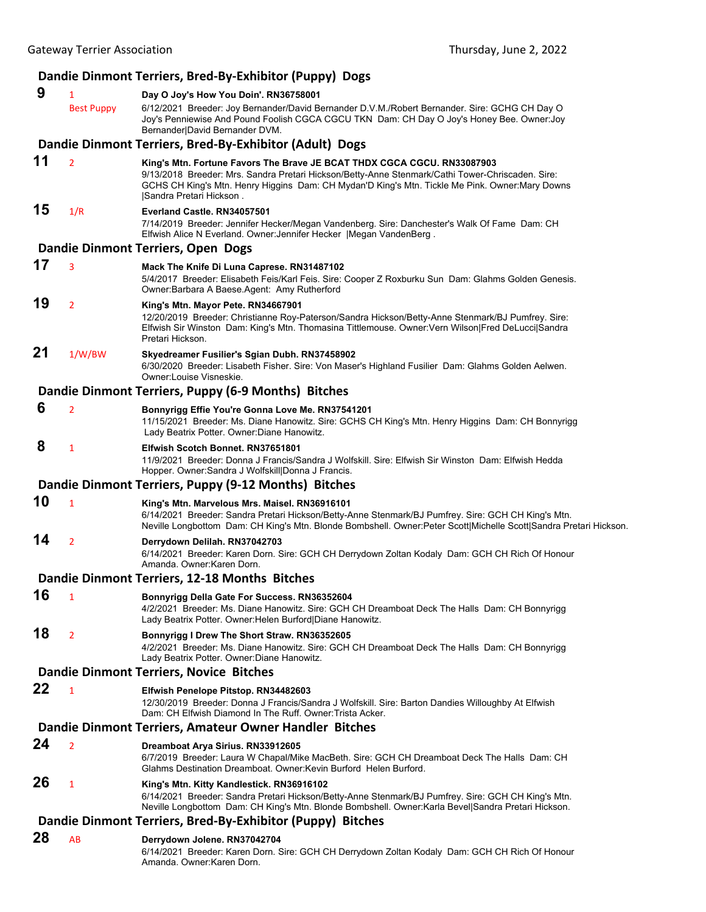## **Dandie Dinmont Terriers, Bred‐By‐Exhibitor (Puppy) Dogs**

- **9** <sup>1</sup> **Day O Joy's How You Doin'. RN36758001** Best Puppy 6/12/2021 Breeder: Joy Bernander/David Bernander D.V.M./Robert Bernander. Sire: GCHG CH Day O Joy's Penniewise And Pound Foolish CGCA CGCU TKN Dam: CH Day O Joy's Honey Bee. Owner:Joy Bernander|David Bernander DVM. **Dandie Dinmont Terriers, Bred‐By‐Exhibitor (Adult) Dogs**
- **11** <sup>2</sup> **King's Mtn. Fortune Favors The Brave JE BCAT THDX CGCA CGCU. RN33087903** 9/13/2018 Breeder: Mrs. Sandra Pretari Hickson/Betty-Anne Stenmark/Cathi Tower-Chriscaden. Sire: GCHS CH King's Mtn. Henry Higgins Dam: CH Mydan'D King's Mtn. Tickle Me Pink. Owner:Mary Downs |Sandra Pretari Hickson .

### **15** 1/R **Everland Castle. RN34057501**

7/14/2019 Breeder: Jennifer Hecker/Megan Vandenberg. Sire: Danchester's Walk Of Fame Dam: CH Elfwish Alice N Everland. Owner:Jennifer Hecker |Megan VandenBerg .

#### **Dandie Dinmont Terriers, Open Dogs**

- **17** <sup>3</sup> **Mack The Knife Di Luna Caprese. RN31487102** 5/4/2017 Breeder: Elisabeth Feis/Karl Feis. Sire: Cooper Z Roxburku Sun Dam: Glahms Golden Genesis. Owner:Barbara A Baese.Agent: Amy Rutherford
- **19** <sup>2</sup> **King's Mtn. Mayor Pete. RN34667901** 12/20/2019 Breeder: Christianne Roy-Paterson/Sandra Hickson/Betty-Anne Stenmark/BJ Pumfrey. Sire: Elfwish Sir Winston Dam: King's Mtn. Thomasina Tittlemouse. Owner:Vern Wilson|Fred DeLucci|Sandra Pretari Hickson.

# **21** 1/W/BW **Skyedreamer Fusilier's Sgian Dubh. RN37458902**

6/30/2020 Breeder: Lisabeth Fisher. Sire: Von Maser's Highland Fusilier Dam: Glahms Golden Aelwen. Owner:Louise Visneskie.

## **Dandie Dinmont Terriers, Puppy (6‐9 Months) Bitches**

 **6** <sup>2</sup> **Bonnyrigg Effie You're Gonna Love Me. RN37541201** 11/15/2021 Breeder: Ms. Diane Hanowitz. Sire: GCHS CH King's Mtn. Henry Higgins Dam: CH Bonnyrigg Lady Beatrix Potter. Owner:Diane Hanowitz.

## **8** <sup>1</sup> **Elfwish Scotch Bonnet. RN37651801**

11/9/2021 Breeder: Donna J Francis/Sandra J Wolfskill. Sire: Elfwish Sir Winston Dam: Elfwish Hedda Hopper. Owner:Sandra J Wolfskill|Donna J Francis.

## **Dandie Dinmont Terriers, Puppy (9‐12 Months) Bitches**

- **10** <sup>1</sup> **King's Mtn. Marvelous Mrs. Maisel. RN36916101**
	- 6/14/2021 Breeder: Sandra Pretari Hickson/Betty-Anne Stenmark/BJ Pumfrey. Sire: GCH CH King's Mtn. Neville Longbottom Dam: CH King's Mtn. Blonde Bombshell. Owner:Peter Scott|Michelle Scott|Sandra Pretari Hickson.

## **14** <sup>2</sup> **Derrydown Delilah. RN37042703**

6/14/2021 Breeder: Karen Dorn. Sire: GCH CH Derrydown Zoltan Kodaly Dam: GCH CH Rich Of Honour Amanda. Owner:Karen Dorn.

### **Dandie Dinmont Terriers, 12‐18 Months Bitches**

**16** <sup>1</sup> **Bonnyrigg Della Gate For Success. RN36352604** 4/2/2021 Breeder: Ms. Diane Hanowitz. Sire: GCH CH Dreamboat Deck The Halls Dam: CH Bonnyrigg Lady Beatrix Potter. Owner:Helen Burford|Diane Hanowitz.

#### **18** <sup>2</sup> **Bonnyrigg I Drew The Short Straw. RN36352605** 4/2/2021 Breeder: Ms. Diane Hanowitz. Sire: GCH CH Dreamboat Deck The Halls Dam: CH Bonnyrigg Lady Beatrix Potter. Owner:Diane Hanowitz.

### **Dandie Dinmont Terriers, Novice Bitches**

**22** <sup>1</sup> **Elfwish Penelope Pitstop. RN34482603**

12/30/2019 Breeder: Donna J Francis/Sandra J Wolfskill. Sire: Barton Dandies Willoughby At Elfwish Dam: CH Elfwish Diamond In The Ruff. Owner:Trista Acker.

### **Dandie Dinmont Terriers, Amateur Owner Handler Bitches**

#### **24** <sup>2</sup> **Dreamboat Arya Sirius. RN33912605**

6/7/2019 Breeder: Laura W Chapal/Mike MacBeth. Sire: GCH CH Dreamboat Deck The Halls Dam: CH Glahms Destination Dreamboat. Owner:Kevin Burford Helen Burford.

## **26** <sup>1</sup> **King's Mtn. Kitty Kandlestick. RN36916102**

6/14/2021 Breeder: Sandra Pretari Hickson/Betty-Anne Stenmark/BJ Pumfrey. Sire: GCH CH King's Mtn. Neville Longbottom Dam: CH King's Mtn. Blonde Bombshell. Owner:Karla Bevel|Sandra Pretari Hickson.

## **Dandie Dinmont Terriers, Bred‐By‐Exhibitor (Puppy) Bitches**

**28** AB **Derrydown Jolene. RN37042704** 6/14/2021 Breeder: Karen Dorn. Sire: GCH CH Derrydown Zoltan Kodaly Dam: GCH CH Rich Of Honour Amanda. Owner:Karen Dorn.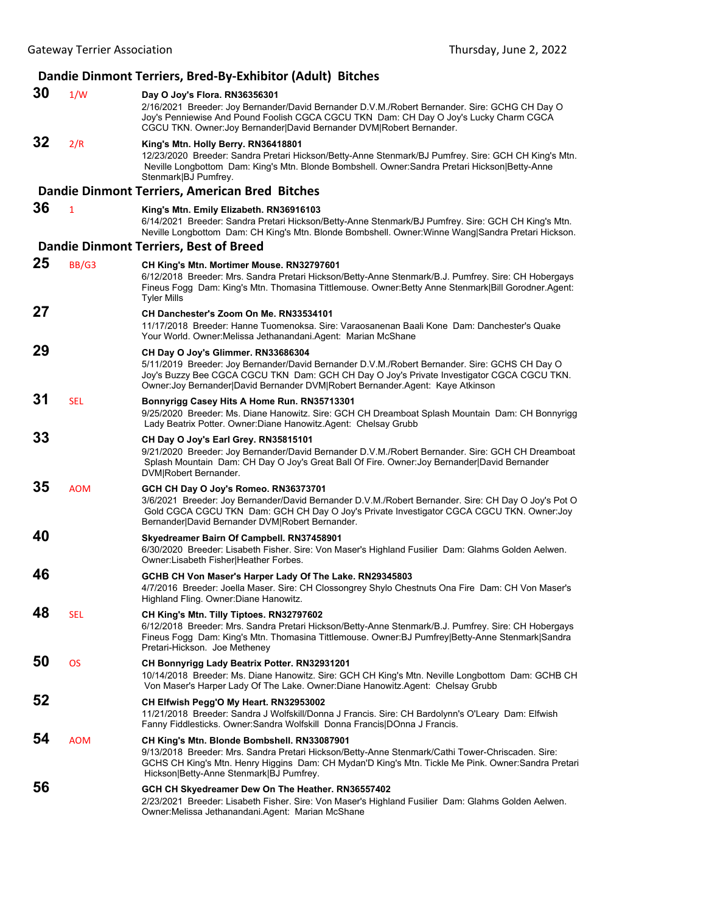## **Dandie Dinmont Terriers, Bred‐By‐Exhibitor (Adult) Bitches**

| 30 | 1/W        | Day O Joy's Flora. RN36356301<br>2/16/2021 Breeder: Joy Bernander/David Bernander D.V.M./Robert Bernander. Sire: GCHG CH Day O<br>Joy's Penniewise And Pound Foolish CGCA CGCU TKN Dam: CH Day O Joy's Lucky Charm CGCA<br>CGCU TKN. Owner: Joy Bernander David Bernander DVM Robert Bernander.                    |
|----|------------|--------------------------------------------------------------------------------------------------------------------------------------------------------------------------------------------------------------------------------------------------------------------------------------------------------------------|
| 32 | 2/R        | King's Mtn. Holly Berry. RN36418801<br>12/23/2020 Breeder: Sandra Pretari Hickson/Betty-Anne Stenmark/BJ Pumfrey. Sire: GCH CH King's Mtn.<br>Neville Longbottom Dam: King's Mtn. Blonde Bombshell. Owner: Sandra Pretari Hickson Betty-Anne<br>Stenmark BJ Pumfrey.                                               |
|    |            | Dandie Dinmont Terriers, American Bred Bitches                                                                                                                                                                                                                                                                     |
| 36 | 1          | King's Mtn. Emily Elizabeth. RN36916103<br>6/14/2021 Breeder: Sandra Pretari Hickson/Betty-Anne Stenmark/BJ Pumfrey. Sire: GCH CH King's Mtn.<br>Neville Longbottom Dam: CH King's Mtn. Blonde Bombshell. Owner:Winne Wang Sandra Pretari Hickson.                                                                 |
|    |            | <b>Dandie Dinmont Terriers, Best of Breed</b>                                                                                                                                                                                                                                                                      |
| 25 | BB/G3      | CH King's Mtn. Mortimer Mouse. RN32797601<br>6/12/2018 Breeder: Mrs. Sandra Pretari Hickson/Betty-Anne Stenmark/B.J. Pumfrey. Sire: CH Hobergays<br>Fineus Fogg Dam: King's Mtn. Thomasina Tittlemouse. Owner: Betty Anne Stenmark [Bill Gorodner. Agent:<br><b>Tyler Mills</b>                                    |
| 27 |            | CH Danchester's Zoom On Me. RN33534101<br>11/17/2018 Breeder: Hanne Tuomenoksa. Sire: Varaosanenan Baali Kone Dam: Danchester's Quake<br>Your World. Owner: Melissa Jethanandani. Agent: Marian McShane                                                                                                            |
| 29 |            | CH Day O Joy's Glimmer. RN33686304<br>5/11/2019 Breeder: Joy Bernander/David Bernander D.V.M./Robert Bernander. Sire: GCHS CH Day O<br>Joy's Buzzy Bee CGCA CGCU TKN Dam: GCH CH Day O Joy's Private Investigator CGCA CGCU TKN.<br>Owner: Joy Bernander David Bernander DVM Robert Bernander.Agent: Kaye Atkinson |
| 31 | <b>SEL</b> | Bonnyrigg Casey Hits A Home Run. RN35713301<br>9/25/2020 Breeder: Ms. Diane Hanowitz. Sire: GCH CH Dreamboat Splash Mountain Dam: CH Bonnyrigg<br>Lady Beatrix Potter. Owner: Diane Hanowitz. Agent: Chelsay Grubb                                                                                                 |
| 33 |            | CH Day O Joy's Earl Grey. RN35815101<br>9/21/2020 Breeder: Joy Bernander/David Bernander D.V.M./Robert Bernander. Sire: GCH CH Dreamboat<br>Splash Mountain Dam: CH Day O Joy's Great Ball Of Fire. Owner: Joy Bernander David Bernander<br>DVM Robert Bernander.                                                  |
| 35 | <b>AOM</b> | GCH CH Day O Joy's Romeo. RN36373701<br>3/6/2021 Breeder: Joy Bernander/David Bernander D.V.M./Robert Bernander. Sire: CH Day O Joy's Pot O<br>Gold CGCA CGCU TKN Dam: GCH CH Day O Joy's Private Investigator CGCA CGCU TKN. Owner: Joy<br>Bernander David Bernander DVM Robert Bernander.                        |
| 40 |            | Skyedreamer Bairn Of Campbell. RN37458901<br>6/30/2020 Breeder: Lisabeth Fisher. Sire: Von Maser's Highland Fusilier Dam: Glahms Golden Aelwen.<br>Owner:Lisabeth Fisher Heather Forbes.                                                                                                                           |
| 46 |            | GCHB CH Von Maser's Harper Lady Of The Lake. RN29345803<br>4/7/2016 Breeder: Joella Maser. Sire: CH Clossongrey Shylo Chestnuts Ona Fire Dam: CH Von Maser's<br>Highland Fling. Owner: Diane Hanowitz.                                                                                                             |
| 48 | SEL        | CH King's Mtn. Tilly Tiptoes. RN32797602<br>6/12/2018 Breeder: Mrs. Sandra Pretari Hickson/Betty-Anne Stenmark/B.J. Pumfrey. Sire: CH Hobergays<br>Fineus Fogg Dam: King's Mtn. Thomasina Tittlemouse. Owner: BJ Pumfrey Betty-Anne Stenmark Sandra<br>Pretari-Hickson. Joe Metheney                               |
| 50 | <b>OS</b>  | CH Bonnyrigg Lady Beatrix Potter. RN32931201<br>10/14/2018 Breeder: Ms. Diane Hanowitz. Sire: GCH CH King's Mtn. Neville Longbottom Dam: GCHB CH<br>Von Maser's Harper Lady Of The Lake. Owner: Diane Hanowitz. Agent: Chelsay Grubb                                                                               |
| 52 |            | CH Elfwish Pegg'O My Heart. RN32953002<br>11/21/2018 Breeder: Sandra J Wolfskill/Donna J Francis. Sire: CH Bardolynn's O'Leary Dam: Elfwish<br>Fanny Fiddlesticks. Owner: Sandra Wolfskill Donna Francis DOnna J Francis.                                                                                          |
| 54 | <b>AOM</b> | CH King's Mtn. Blonde Bombshell. RN33087901<br>9/13/2018 Breeder: Mrs. Sandra Pretari Hickson/Betty-Anne Stenmark/Cathi Tower-Chriscaden. Sire:<br>GCHS CH King's Mtn. Henry Higgins Dam: CH Mydan'D King's Mtn. Tickle Me Pink. Owner:Sandra Pretari<br>Hickson Betty-Anne Stenmark BJ Pumfrey.                   |
| 56 |            | GCH CH Skyedreamer Dew On The Heather. RN36557402<br>2/23/2021 Breeder: Lisabeth Fisher. Sire: Von Maser's Highland Fusilier Dam: Glahms Golden Aelwen.<br>Owner: Melissa Jethanandani. Agent: Marian McShane                                                                                                      |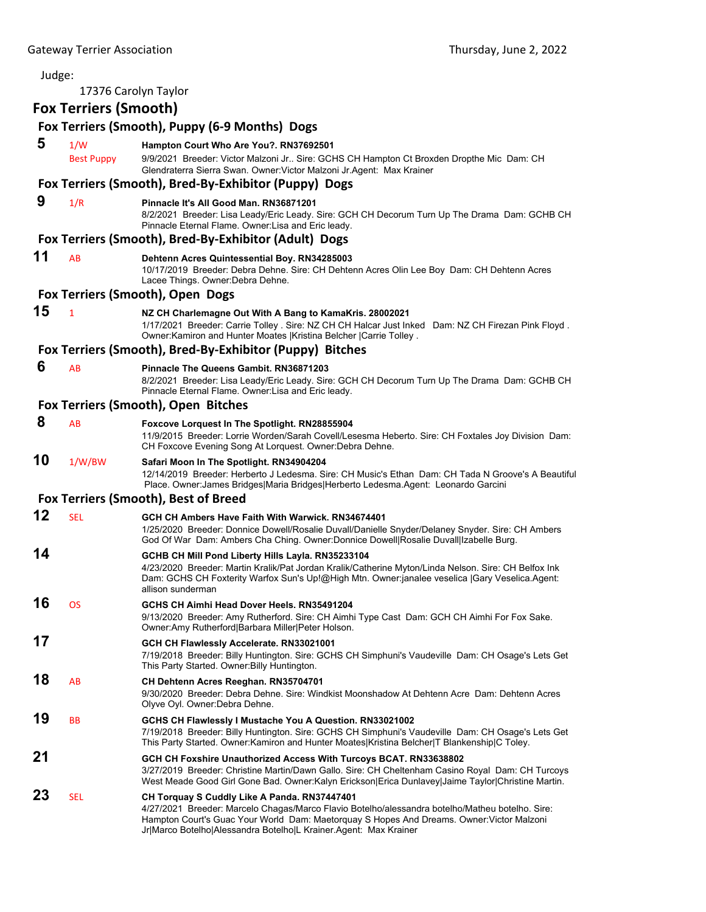| Judge: |                              |                                                                                                                                                                                                                                                                                  |
|--------|------------------------------|----------------------------------------------------------------------------------------------------------------------------------------------------------------------------------------------------------------------------------------------------------------------------------|
|        | 17376 Carolyn Taylor         |                                                                                                                                                                                                                                                                                  |
|        | <b>Fox Terriers (Smooth)</b> |                                                                                                                                                                                                                                                                                  |
|        |                              | Fox Terriers (Smooth), Puppy (6-9 Months) Dogs                                                                                                                                                                                                                                   |
| 5      | 1/W                          | Hampton Court Who Are You?. RN37692501                                                                                                                                                                                                                                           |
|        | <b>Best Puppy</b>            | 9/9/2021 Breeder: Victor Malzoni Jr Sire: GCHS CH Hampton Ct Broxden Dropthe Mic Dam: CH<br>Glendraterra Sierra Swan. Owner: Victor Malzoni Jr. Agent: Max Krainer                                                                                                               |
|        |                              | Fox Terriers (Smooth), Bred-By-Exhibitor (Puppy) Dogs                                                                                                                                                                                                                            |
| 9      | 1/R                          | Pinnacle It's All Good Man. RN36871201<br>8/2/2021 Breeder: Lisa Leady/Eric Leady. Sire: GCH CH Decorum Turn Up The Drama Dam: GCHB CH<br>Pinnacle Eternal Flame. Owner: Lisa and Eric leady.                                                                                    |
|        |                              | Fox Terriers (Smooth), Bred-By-Exhibitor (Adult) Dogs                                                                                                                                                                                                                            |
| 11     | AB                           | Dehtenn Acres Quintessential Boy. RN34285003<br>10/17/2019 Breeder: Debra Dehne. Sire: CH Dehtenn Acres Olin Lee Boy Dam: CH Dehtenn Acres<br>Lacee Things. Owner: Debra Dehne.                                                                                                  |
|        |                              | Fox Terriers (Smooth), Open Dogs                                                                                                                                                                                                                                                 |
| 15     | $\mathbf{1}$                 | NZ CH Charlemagne Out With A Bang to KamaKris. 28002021<br>1/17/2021 Breeder: Carrie Tolley . Sire: NZ CH CH Halcar Just Inked Dam: NZ CH Firezan Pink Floyd.<br>Owner: Kamiron and Hunter Moates   Kristina Belcher   Carrie Tolley.                                            |
|        |                              | Fox Terriers (Smooth), Bred-By-Exhibitor (Puppy) Bitches                                                                                                                                                                                                                         |
| 6      | AB                           | <b>Pinnacle The Queens Gambit, RN36871203</b><br>8/2/2021 Breeder: Lisa Leady/Eric Leady. Sire: GCH CH Decorum Turn Up The Drama Dam: GCHB CH<br>Pinnacle Eternal Flame. Owner: Lisa and Eric leady.                                                                             |
|        |                              | Fox Terriers (Smooth), Open Bitches                                                                                                                                                                                                                                              |
| 8      | AB                           | Foxcove Lorquest In The Spotlight. RN28855904<br>11/9/2015 Breeder: Lorrie Worden/Sarah Covell/Lesesma Heberto. Sire: CH Foxtales Joy Division Dam:<br>CH Foxcove Evening Song At Lorquest. Owner: Debra Dehne.                                                                  |
| 10     | 1/W/BW                       | Safari Moon In The Spotlight. RN34904204<br>12/14/2019 Breeder: Herberto J Ledesma. Sire: CH Music's Ethan Dam: CH Tada N Groove's A Beautiful<br>Place. Owner: James Bridges Maria Bridges Herberto Ledesma.Agent: Leonardo Garcini                                             |
|        |                              | Fox Terriers (Smooth), Best of Breed                                                                                                                                                                                                                                             |
| 12     | <b>SEL</b>                   | GCH CH Ambers Have Faith With Warwick. RN34674401<br>1/25/2020 Breeder: Donnice Dowell/Rosalie Duvall/Danielle Snyder/Delaney Snyder. Sire: CH Ambers<br>God Of War Dam: Ambers Cha Ching. Owner:Donnice Dowell Rosalie Duvall Izabelle Burg.                                    |
| 14     |                              | GCHB CH Mill Pond Liberty Hills Layla. RN35233104<br>4/23/2020 Breeder: Martin Kralik/Pat Jordan Kralik/Catherine Myton/Linda Nelson. Sire: CH Belfox Ink<br>Dam: GCHS CH Foxterity Warfox Sun's Up!@High Mtn. Owner:janalee veselica  Gary Veselica.Agent:<br>allison sunderman |
| 16     | OS                           | GCHS CH Aimhi Head Dover Heels. RN35491204<br>9/13/2020 Breeder: Amy Rutherford. Sire: CH Aimhi Type Cast Dam: GCH CH Aimhi For Fox Sake.<br>Owner:Amy Rutherford Barbara Miller Peter Holson.                                                                                   |
| 17     |                              | GCH CH Flawlessly Accelerate. RN33021001<br>7/19/2018 Breeder: Billy Huntington. Sire: GCHS CH Simphuni's Vaudeville Dam: CH Osage's Lets Get<br>This Party Started. Owner: Billy Huntington.                                                                                    |
| 18     | AB                           | CH Dehtenn Acres Reeghan. RN35704701<br>9/30/2020 Breeder: Debra Dehne. Sire: Windkist Moonshadow At Dehtenn Acre Dam: Dehtenn Acres<br>Olyve Oyl. Owner: Debra Dehne.                                                                                                           |
| 19     | BB                           | GCHS CH Flawlessly I Mustache You A Question. RN33021002<br>7/19/2018 Breeder: Billy Huntington, Sire: GCHS CH Simphuni's Vaudeville Dam: CH Osage's Lets Get<br>This Party Started. Owner: Kamiron and Hunter Moates   Kristina Belcher   T Blankenship   C Toley.              |
| 21     |                              | GCH CH Foxshire Unauthorized Access With Turcoys BCAT. RN33638802<br>3/27/2019 Breeder: Christine Martin/Dawn Gallo. Sire: CH Cheltenham Casino Royal Dam: CH Turcoys<br>West Meade Good Girl Gone Bad. Owner:Kalyn Erickson Erica Dunlavey Jaime Taylor Christine Martin.       |
| 23     | SEL                          | CH Torquay S Cuddly Like A Panda. RN37447401<br>4/27/2021 Breeder: Marcelo Chagas/Marco Flavio Botelho/alessandra botelho/Matheu botelho. Sire:<br>Hampton Court's Guac Your World Dam: Maetorquay S Hopes And Dreams. Owner: Victor Malzoni                                     |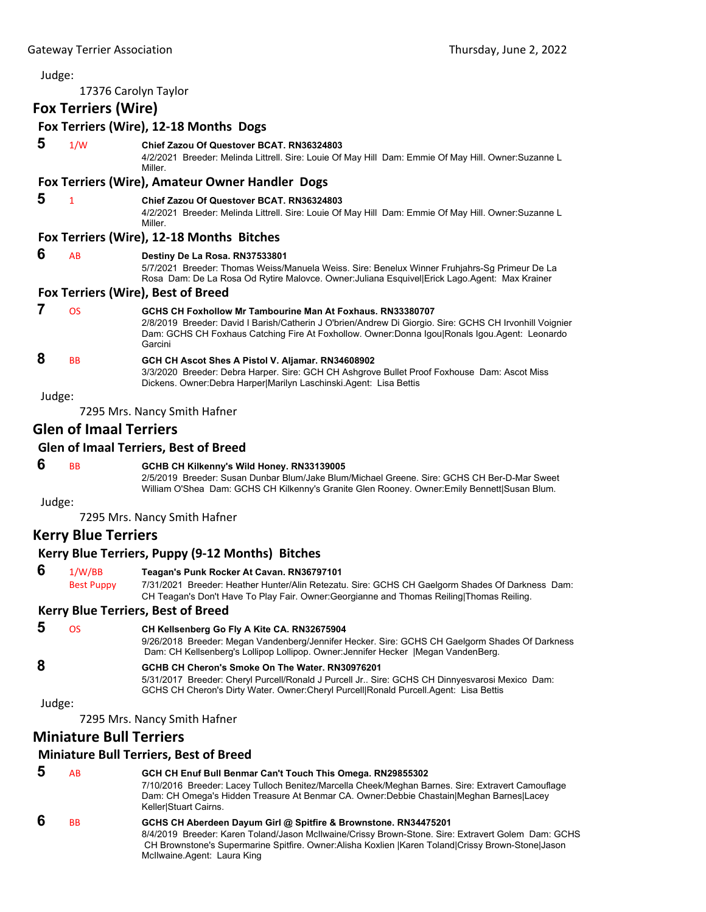| Judge:                                    |                                |                                                                                                                                                                                                                                                                                   |  |  |
|-------------------------------------------|--------------------------------|-----------------------------------------------------------------------------------------------------------------------------------------------------------------------------------------------------------------------------------------------------------------------------------|--|--|
|                                           | 17376 Carolyn Taylor           |                                                                                                                                                                                                                                                                                   |  |  |
|                                           | <b>Fox Terriers (Wire)</b>     |                                                                                                                                                                                                                                                                                   |  |  |
|                                           |                                | Fox Terriers (Wire), 12-18 Months Dogs                                                                                                                                                                                                                                            |  |  |
| 5                                         | 1/W                            | Chief Zazou Of Questover BCAT. RN36324803<br>4/2/2021 Breeder: Melinda Littrell. Sire: Louie Of May Hill Dam: Emmie Of May Hill. Owner:Suzanne L<br>Miller.                                                                                                                       |  |  |
|                                           |                                | Fox Terriers (Wire), Amateur Owner Handler Dogs                                                                                                                                                                                                                                   |  |  |
| 5                                         | 1                              | Chief Zazou Of Questover BCAT, RN36324803<br>4/2/2021 Breeder: Melinda Littrell. Sire: Louie Of May Hill Dam: Emmie Of May Hill. Owner:Suzanne L<br>Miller.                                                                                                                       |  |  |
|                                           |                                | Fox Terriers (Wire), 12-18 Months Bitches                                                                                                                                                                                                                                         |  |  |
| 6                                         | AB                             | Destiny De La Rosa. RN37533801<br>5/7/2021 Breeder: Thomas Weiss/Manuela Weiss. Sire: Benelux Winner Fruhjahrs-Sg Primeur De La<br>Rosa Dam: De La Rosa Od Rytire Malovce. Owner: Juliana Esquivel Erick Lago. Agent: Max Krainer                                                 |  |  |
|                                           |                                | Fox Terriers (Wire), Best of Breed                                                                                                                                                                                                                                                |  |  |
| 7                                         | <b>OS</b>                      | GCHS CH Foxhollow Mr Tambourine Man At Foxhaus, RN33380707<br>2/8/2019 Breeder: David I Barish/Catherin J O'brien/Andrew Di Giorgio. Sire: GCHS CH Irvonhill Voignier<br>Dam: GCHS CH Foxhaus Catching Fire At Foxhollow. Owner:Donna Igou Ronals Igou.Agent: Leonardo<br>Garcini |  |  |
| 8                                         | <b>BB</b>                      | GCH CH Ascot Shes A Pistol V. Aljamar. RN34608902<br>3/3/2020 Breeder: Debra Harper. Sire: GCH CH Ashgrove Bullet Proof Foxhouse Dam: Ascot Miss<br>Dickens. Owner: Debra Harper Marilyn Laschinski. Agent: Lisa Bettis                                                           |  |  |
| Judge:                                    |                                |                                                                                                                                                                                                                                                                                   |  |  |
|                                           |                                | 7295 Mrs. Nancy Smith Hafner                                                                                                                                                                                                                                                      |  |  |
|                                           | <b>Glen of Imaal Terriers</b>  |                                                                                                                                                                                                                                                                                   |  |  |
|                                           |                                | <b>Glen of Imaal Terriers, Best of Breed</b>                                                                                                                                                                                                                                      |  |  |
| 6                                         | <b>BB</b>                      | GCHB CH Kilkenny's Wild Honey. RN33139005<br>2/5/2019 Breeder: Susan Dunbar Blum/Jake Blum/Michael Greene. Sire: GCHS CH Ber-D-Mar Sweet<br>William O'Shea Dam: GCHS CH Kilkenny's Granite Glen Rooney. Owner: Emily Bennett Susan Blum.                                          |  |  |
| Judge:                                    |                                |                                                                                                                                                                                                                                                                                   |  |  |
|                                           |                                | 7295 Mrs. Nancy Smith Hafner                                                                                                                                                                                                                                                      |  |  |
|                                           | <b>Kerry Blue Terriers</b>     |                                                                                                                                                                                                                                                                                   |  |  |
|                                           |                                | Kerry Blue Terriers, Puppy (9-12 Months) Bitches                                                                                                                                                                                                                                  |  |  |
| 6                                         | 1/W/BB                         | Teagan's Punk Rocker At Cavan. RN36797101                                                                                                                                                                                                                                         |  |  |
|                                           | <b>Best Puppy</b>              | 7/31/2021 Breeder: Heather Hunter/Alin Retezatu. Sire: GCHS CH Gaelgorm Shades Of Darkness Dam:<br>CH Teagan's Don't Have To Play Fair. Owner: Georgianne and Thomas Reiling Thomas Reiling.                                                                                      |  |  |
| <b>Kerry Blue Terriers, Best of Breed</b> |                                |                                                                                                                                                                                                                                                                                   |  |  |
| 5                                         | <b>OS</b>                      | CH Kellsenberg Go Fly A Kite CA. RN32675904<br>9/26/2018 Breeder: Megan Vandenberg/Jennifer Hecker. Sire: GCHS CH Gaelgorm Shades Of Darkness<br>Dam: CH Kellsenberg's Lollipop Lollipop. Owner: Jennifer Hecker   Megan VandenBerg.                                              |  |  |
| 8                                         |                                | GCHB CH Cheron's Smoke On The Water. RN30976201<br>5/31/2017 Breeder: Cheryl Purcell/Ronald J Purcell Jr Sire: GCHS CH Dinnyesvarosi Mexico Dam:<br>GCHS CH Cheron's Dirty Water. Owner: Cheryl Purcell Ronald Purcell.Agent: Lisa Bettis                                         |  |  |
| Judge:                                    |                                |                                                                                                                                                                                                                                                                                   |  |  |
|                                           |                                | 7295 Mrs. Nancy Smith Hafner                                                                                                                                                                                                                                                      |  |  |
|                                           | <b>Miniature Bull Terriers</b> |                                                                                                                                                                                                                                                                                   |  |  |
|                                           |                                | <b>Miniature Bull Terriers, Best of Breed</b>                                                                                                                                                                                                                                     |  |  |

#### **5** AB **GCH CH Enuf Bull Benmar Can't Touch This Omega. RN29855302** 7/10/2016 Breeder: Lacey Tulloch Benitez/Marcella Cheek/Meghan Barnes. Sire: Extravert Camouflage Dam: CH Omega's Hidden Treasure At Benmar CA. Owner:Debbie Chastain|Meghan Barnes|Lacey Keller|Stuart Cairns.  **6** BB **GCHS CH Aberdeen Dayum Girl @ Spitfire & Brownstone. RN34475201** 8/4/2019 Breeder: Karen Toland/Jason McIlwaine/Crissy Brown-Stone. Sire: Extravert Golem Dam: GCHS CH Brownstone's Supermarine Spitfire. Owner:Alisha Koxlien |Karen Toland|Crissy Brown-Stone|Jason McIlwaine.Agent: Laura King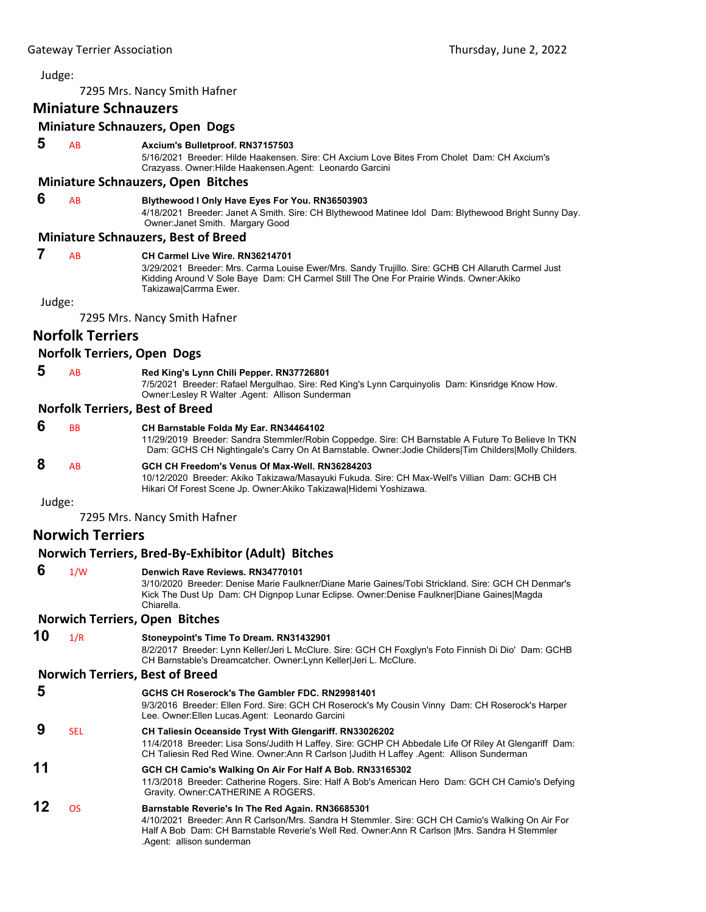7295 Mrs. Nancy Smith Hafner

## **Miniature Schnauzers**

## **Miniature Schnauzers, Open Dogs**

 **5** AB **Axcium's Bulletproof. RN37157503**

5/16/2021 Breeder: Hilde Haakensen. Sire: CH Axcium Love Bites From Cholet Dam: CH Axcium's Crazyass. Owner:Hilde Haakensen.Agent: Leonardo Garcini

#### **Miniature Schnauzers, Open Bitches**

## **6** AB **Blythewood I Only Have Eyes For You. RN36503903**

4/18/2021 Breeder: Janet A Smith. Sire: CH Blythewood Matinee Idol Dam: Blythewood Bright Sunny Day. Owner:Janet Smith. Margary Good

#### **Miniature Schnauzers, Best of Breed**

#### **7** AB **CH Carmel Live Wire. RN36214701**

3/29/2021 Breeder: Mrs. Carma Louise Ewer/Mrs. Sandy Trujillo. Sire: GCHB CH Allaruth Carmel Just Kidding Around V Sole Baye Dam: CH Carmel Still The One For Prairie Winds. Owner:Akiko Takizawa|Carrma Ewer.

Judge:

7295 Mrs. Nancy Smith Hafner

## **Norfolk Terriers**

### **Norfolk Terriers, Open Dogs**

 **5** AB **Red King's Lynn Chili Pepper. RN37726801**

7/5/2021 Breeder: Rafael Mergulhao. Sire: Red King's Lynn Carquinyolis Dam: Kinsridge Know How. Owner:Lesley R Walter .Agent: Allison Sunderman

#### **Norfolk Terriers, Best of Breed**

| 6 | <b>BB</b>      | CH Barnstable Folda My Ear. RN34464102<br>11/29/2019 Breeder: Sandra Stemmler/Robin Coppedge. Sire: CH Barnstable A Future To Believe In TKN<br>Dam: GCHS CH Nightingale's Carry On At Barnstable. Owner: Jodie Childers Tim Childers Molly Childers. |
|---|----------------|-------------------------------------------------------------------------------------------------------------------------------------------------------------------------------------------------------------------------------------------------------|
| 8 | A <sub>R</sub> | GCH CH Freedom's Venus Of Max-Well, RN36284203<br>10/12/2020 Breeder: Akiko Takizawa/Masayuki Fukuda. Sire: CH Max-Well's Villian Dam: GCHB CH<br>Hikari Of Forest Scene Jp. Owner: Akiko Takizawa Hidemi Yoshizawa.                                  |

Judge:

7295 Mrs. Nancy Smith Hafner

## **Norwich Terriers**

### **Norwich Terriers, Bred‐By‐Exhibitor (Adult) Bitches**

## **6** 1/W **Denwich Rave Reviews. RN34770101**

3/10/2020 Breeder: Denise Marie Faulkner/Diane Marie Gaines/Tobi Strickland. Sire: GCH CH Denmar's Kick The Dust Up Dam: CH Dignpop Lunar Eclipse. Owner:Denise Faulkner|Diane Gaines|Magda Chiarella.

### **Norwich Terriers, Open Bitches**

**10** 1/R **Stoneypoint's Time To Dream. RN31432901** 8/2/2017 Breeder: Lynn Keller/Jeri L McClure. Sire: GCH CH Foxglyn's Foto Finnish Di Dio' Dam: GCHB CH Barnstable's Dreamcatcher. Owner:Lynn Keller|Jeri L. McClure. **Norwich Terriers, Best of Breed 5 GCHS CH Roserock's The Gambler FDC. RN29981401** 9/3/2016 Breeder: Ellen Ford. Sire: GCH CH Roserock's My Cousin Vinny Dam: CH Roserock's Harper Lee. Owner:Ellen Lucas.Agent: Leonardo Garcini  **9** SEL **CH Taliesin Oceanside Tryst With Glengariff. RN33026202** 11/4/2018 Breeder: Lisa Sons/Judith H Laffey. Sire: GCHP CH Abbedale Life Of Riley At Glengariff Dam: CH Taliesin Red Red Wine. Owner:Ann R Carlson |Judith H Laffey .Agent: Allison Sunderman **11 GCH CH Camio's Walking On Air For Half A Bob. RN33165302** 11/3/2018 Breeder: Catherine Rogers. Sire: Half A Bob's American Hero Dam: GCH CH Camio's Defying Gravity. Owner:CATHERINE A ROGERS. **12** OS **Barnstable Reverie's In The Red Again. RN36685301**

4/10/2021 Breeder: Ann R Carlson/Mrs. Sandra H Stemmler. Sire: GCH CH Camio's Walking On Air For Half A Bob Dam: CH Barnstable Reverie's Well Red. Owner:Ann R Carlson |Mrs. Sandra H Stemmler .Agent: allison sunderman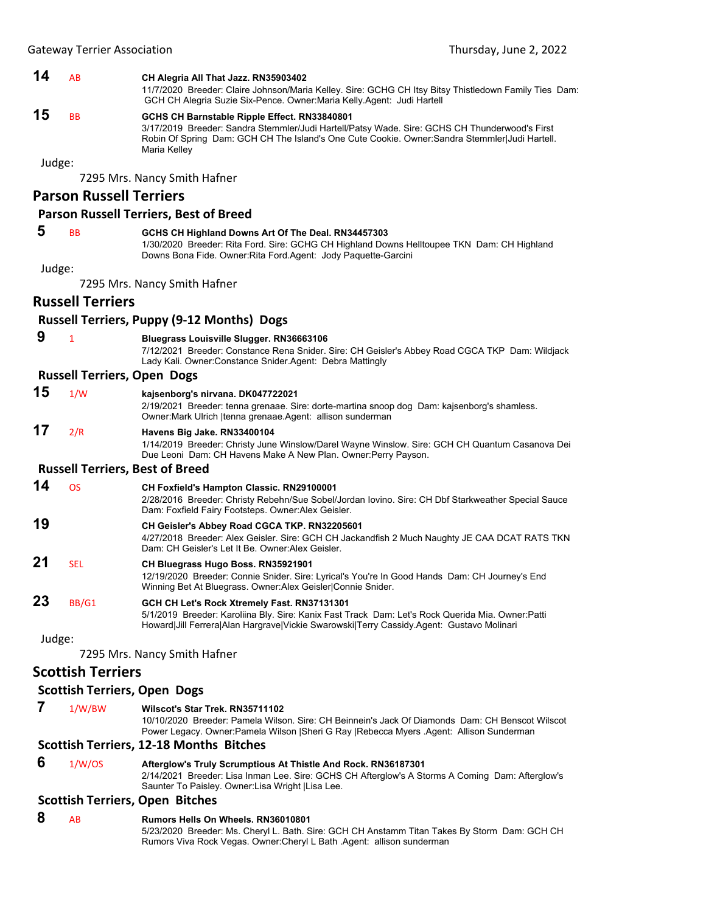### **14** AB **CH Alegria All That Jazz. RN35903402**

11/7/2020 Breeder: Claire Johnson/Maria Kelley. Sire: GCHG CH Itsy Bitsy Thistledown Family Ties Dam: GCH CH Alegria Suzie Six-Pence. Owner:Maria Kelly.Agent: Judi Hartell

## **15** BB **GCHS CH Barnstable Ripple Effect. RN33840801**

3/17/2019 Breeder: Sandra Stemmler/Judi Hartell/Patsy Wade. Sire: GCHS CH Thunderwood's First Robin Of Spring Dam: GCH CH The Island's One Cute Cookie. Owner:Sandra Stemmler|Judi Hartell. Maria Kelley

Judge:

7295 Mrs. Nancy Smith Hafner

## **Parson Russell Terriers**

#### **Parson Russell Terriers, Best of Breed**

## **5** BB **GCHS CH Highland Downs Art Of The Deal. RN34457303**

1/30/2020 Breeder: Rita Ford. Sire: GCHG CH Highland Downs Helltoupee TKN Dam: CH Highland Downs Bona Fide. Owner:Rita Ford.Agent: Jody Paquette-Garcini

Judge:

7295 Mrs. Nancy Smith Hafner

### **Russell Terriers**

## **Russell Terriers, Puppy (9‐12 Months) Dogs 9** <sup>1</sup> **Bluegrass Louisville Slugger. RN36663106** 7/12/2021 Breeder: Constance Rena Snider. Sire: CH Geisler's Abbey Road CGCA TKP Dam: Wildjack Lady Kali. Owner:Constance Snider.Agent: Debra Mattingly **Russell Terriers, Open Dogs 15** 1/W **kajsenborg's nirvana. DK047722021** 2/19/2021 Breeder: tenna grenaae. Sire: dorte-martina snoop dog Dam: kajsenborg's shamless. Owner:Mark Ulrich |tenna grenaae.Agent: allison sunderman **17** 2/R **Havens Big Jake. RN33400104** 1/14/2019 Breeder: Christy June Winslow/Darel Wayne Winslow. Sire: GCH CH Quantum Casanova Dei Due Leoni Dam: CH Havens Make A New Plan. Owner:Perry Payson. **Russell Terriers, Best of Breed 14** OS **CH Foxfield's Hampton Classic. RN29100001** 2/28/2016 Breeder: Christy Rebehn/Sue Sobel/Jordan Iovino. Sire: CH Dbf Starkweather Special Sauce Dam: Foxfield Fairy Footsteps. Owner:Alex Geisler. **19 CH Geisler's Abbey Road CGCA TKP. RN32205601** 4/27/2018 Breeder: Alex Geisler. Sire: GCH CH Jackandfish 2 Much Naughty JE CAA DCAT RATS TKN Dam: CH Geisler's Let It Be. Owner:Alex Geisler. **21** SEL **CH Bluegrass Hugo Boss. RN35921901** 12/19/2020 Breeder: Connie Snider. Sire: Lyrical's You're In Good Hands Dam: CH Journey's End

## Winning Bet At Bluegrass. Owner:Alex Geisler|Connie Snider. **23** BB/G1 **GCH CH Let's Rock Xtremely Fast. RN37131301**

5/1/2019 Breeder: Karoliina Bly. Sire: Kanix Fast Track Dam: Let's Rock Querida Mia. Owner:Patti Howard|Jill Ferrera|Alan Hargrave|Vickie Swarowski|Terry Cassidy.Agent: Gustavo Molinari

Judge:

7295 Mrs. Nancy Smith Hafner

## **Scottish Terriers**

### **Scottish Terriers, Open Dogs**

 **7** 1/W/BW **Wilscot's Star Trek. RN35711102**

10/10/2020 Breeder: Pamela Wilson. Sire: CH Beinnein's Jack Of Diamonds Dam: CH Benscot Wilscot Power Legacy. Owner:Pamela Wilson |Sheri G Ray |Rebecca Myers .Agent: Allison Sunderman

#### **Scottish Terriers, 12‐18 Months Bitches**

 **6** 1/W/OS **Afterglow's Truly Scrumptious At Thistle And Rock. RN36187301** 2/14/2021 Breeder: Lisa Inman Lee. Sire: GCHS CH Afterglow's A Storms A Coming Dam: Afterglow's

Saunter To Paisley. Owner:Lisa Wright |Lisa Lee.

### **Scottish Terriers, Open Bitches**

 **8** AB **Rumors Hells On Wheels. RN36010801** 5/23/2020 Breeder: Ms. Cheryl L. Bath. Sire: GCH CH Anstamm Titan Takes By Storm Dam: GCH CH Rumors Viva Rock Vegas. Owner:Cheryl L Bath .Agent: allison sunderman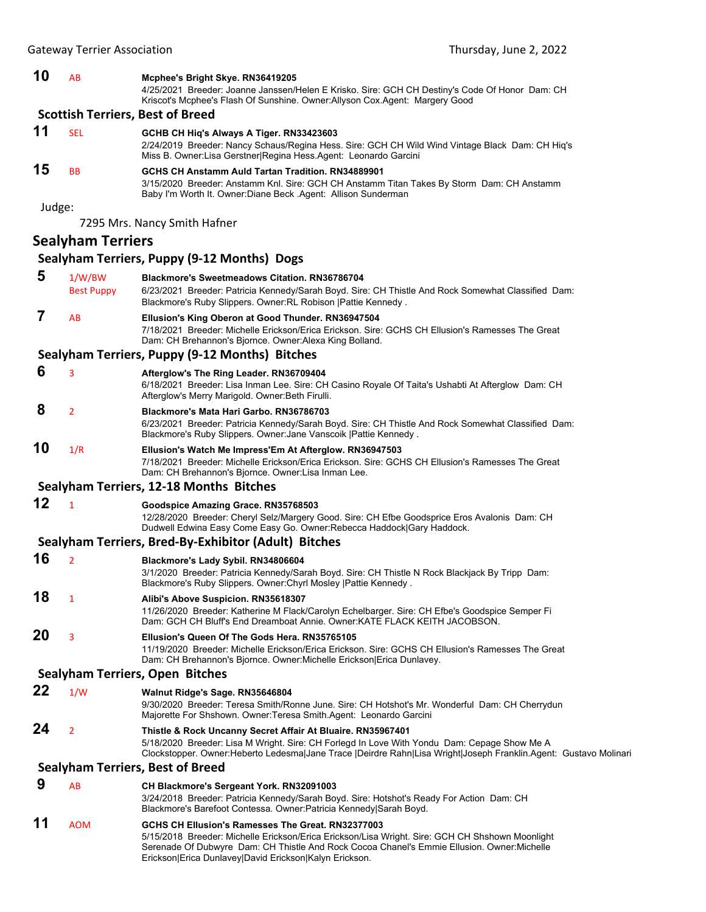| 10     | AB                          | Mcphee's Bright Skye. RN36419205<br>4/25/2021 Breeder: Joanne Janssen/Helen E Krisko. Sire: GCH CH Destiny's Code Of Honor Dam: CH<br>Kriscot's Mcphee's Flash Of Sunshine. Owner: Allyson Cox. Agent: Margery Good                                                                                          |
|--------|-----------------------------|--------------------------------------------------------------------------------------------------------------------------------------------------------------------------------------------------------------------------------------------------------------------------------------------------------------|
|        |                             | <b>Scottish Terriers, Best of Breed</b>                                                                                                                                                                                                                                                                      |
| 11     | <b>SEL</b>                  | GCHB CH Hiq's Always A Tiger. RN33423603<br>2/24/2019 Breeder: Nancy Schaus/Regina Hess. Sire: GCH CH Wild Wind Vintage Black Dam: CH Hiq's<br>Miss B. Owner: Lisa Gerstner Regina Hess. Agent: Leonardo Garcini                                                                                             |
| 15     | <b>BB</b>                   | GCHS CH Anstamm Auld Tartan Tradition, RN34889901<br>3/15/2020 Breeder: Anstamm Knl. Sire: GCH CH Anstamm Titan Takes By Storm Dam: CH Anstamm<br>Baby I'm Worth It. Owner: Diane Beck . Agent: Allison Sunderman                                                                                            |
| Judge: |                             | 7295 Mrs. Nancy Smith Hafner                                                                                                                                                                                                                                                                                 |
|        | <b>Sealyham Terriers</b>    |                                                                                                                                                                                                                                                                                                              |
|        |                             | Sealyham Terriers, Puppy (9-12 Months) Dogs                                                                                                                                                                                                                                                                  |
| 5      | 1/W/BW<br><b>Best Puppy</b> | <b>Blackmore's Sweetmeadows Citation. RN36786704</b><br>6/23/2021 Breeder: Patricia Kennedy/Sarah Boyd. Sire: CH Thistle And Rock Somewhat Classified Dam:<br>Blackmore's Ruby Slippers. Owner: RL Robison   Pattie Kennedy.                                                                                 |
| 7      | AB                          | Ellusion's King Oberon at Good Thunder. RN36947504<br>7/18/2021 Breeder: Michelle Erickson/Erica Erickson, Sire: GCHS CH Ellusion's Ramesses The Great<br>Dam: CH Brehannon's Bjornce. Owner:Alexa King Bolland.                                                                                             |
|        |                             | Sealyham Terriers, Puppy (9-12 Months) Bitches                                                                                                                                                                                                                                                               |
| 6      | 3                           | Afterglow's The Ring Leader. RN36709404<br>6/18/2021 Breeder: Lisa Inman Lee. Sire: CH Casino Royale Of Taita's Ushabti At Afterglow Dam: CH<br>Afterglow's Merry Marigold. Owner: Beth Firulli.                                                                                                             |
| 8      | $\overline{2}$              | Blackmore's Mata Hari Garbo. RN36786703<br>6/23/2021 Breeder: Patricia Kennedy/Sarah Boyd. Sire: CH Thistle And Rock Somewhat Classified Dam:<br>Blackmore's Ruby Slippers. Owner: Jane Vanscoik   Pattie Kennedy.                                                                                           |
| 10     | 1/R                         | Ellusion's Watch Me Impress'Em At Afterglow. RN36947503<br>7/18/2021 Breeder: Michelle Erickson/Erica Erickson. Sire: GCHS CH Ellusion's Ramesses The Great<br>Dam: CH Brehannon's Bjornce. Owner: Lisa Inman Lee.                                                                                           |
|        |                             | Sealyham Terriers, 12-18 Months Bitches                                                                                                                                                                                                                                                                      |
| 12     | $\mathbf{1}$                | Goodspice Amazing Grace. RN35768503<br>12/28/2020 Breeder: Cheryl Selz/Margery Good. Sire: CH Efbe Goodsprice Eros Avalonis Dam: CH<br>Dudwell Edwina Easy Come Easy Go. Owner:Rebecca Haddock Gary Haddock.                                                                                                 |
|        |                             | Sealyham Terriers, Bred-By-Exhibitor (Adult) Bitches                                                                                                                                                                                                                                                         |
| 16     | $\overline{2}$              | Blackmore's Lady Sybil. RN34806604<br>3/1/2020 Breeder: Patricia Kennedy/Sarah Boyd. Sire: CH Thistle N Rock Blackjack By Tripp Dam:<br>Blackmore's Ruby Slippers. Owner:Chyrl Mosley  Pattie Kennedy .                                                                                                      |
| 18     | 1                           | Alibi's Above Suspicion. RN35618307<br>11/26/2020 Breeder: Katherine M Flack/Carolyn Echelbarger. Sire: CH Efbe's Goodspice Semper Fi<br>Dam: GCH CH Bluff's End Dreamboat Annie. Owner: KATE FLACK KEITH JACOBSON.                                                                                          |
| 20     | 3                           | Ellusion's Queen Of The Gods Hera. RN35765105<br>11/19/2020 Breeder: Michelle Erickson/Erica Erickson, Sire: GCHS CH Ellusion's Ramesses The Great<br>Dam: CH Brehannon's Bjornce. Owner:Michelle Erickson Erica Dunlavey.                                                                                   |
|        |                             | Sealyham Terriers, Open Bitches                                                                                                                                                                                                                                                                              |
| 22     | 1/W                         | Walnut Ridge's Sage. RN35646804<br>9/30/2020 Breeder: Teresa Smith/Ronne June. Sire: CH Hotshot's Mr. Wonderful Dam: CH Cherrydun<br>Majorette For Shshown. Owner: Teresa Smith. Agent: Leonardo Garcini                                                                                                     |
| 24     | $\overline{2}$              | Thistle & Rock Uncanny Secret Affair At Bluaire. RN35967401<br>5/18/2020 Breeder: Lisa M Wright. Sire: CH Forlegd In Love With Yondu Dam: Cepage Show Me A<br>Clockstopper. Owner:Heberto Ledesma Jane Trace  Deirdre Rahn Lisa Wright Joseph Franklin.Agent: Gustavo Molinari                               |
|        |                             | <b>Sealyham Terriers, Best of Breed</b>                                                                                                                                                                                                                                                                      |
| 9      | AB                          | CH Blackmore's Sergeant York. RN32091003<br>3/24/2018 Breeder: Patricia Kennedy/Sarah Boyd. Sire: Hotshot's Ready For Action Dam: CH<br>Blackmore's Barefoot Contessa. Owner: Patricia Kennedy Sarah Boyd.                                                                                                   |
| 11     | <b>AOM</b>                  | GCHS CH Ellusion's Ramesses The Great. RN32377003<br>5/15/2018 Breeder: Michelle Erickson/Erica Erickson/Lisa Wright. Sire: GCH CH Shshown Moonlight<br>Serenade Of Dubwyre Dam: CH Thistle And Rock Cocoa Chanel's Emmie Ellusion. Owner:Michelle<br>Erickson Erica Dunlavey David Erickson Kalyn Erickson. |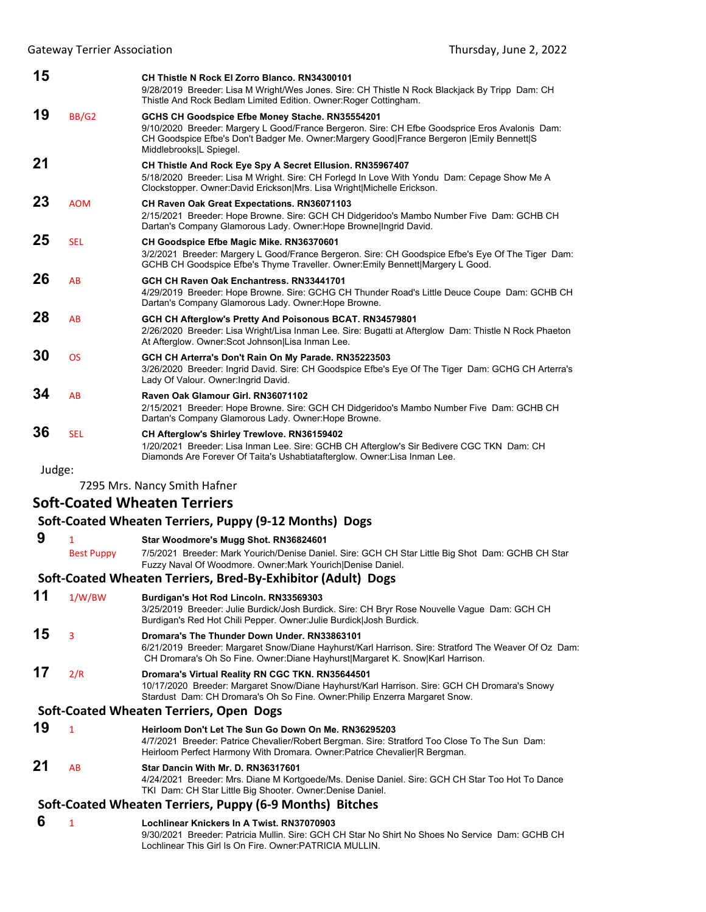Gateway Terrier Association **by the Contract Contract Contract Contract Contract Contract Contract Contract Contract Contract Contract Contract Contract Contract Contract Contract Contract Contract Contract Contract Contra** 

| 15     |              | CH Thistle N Rock El Zorro Blanco, RN34300101<br>9/28/2019 Breeder: Lisa M Wright/Wes Jones. Sire: CH Thistle N Rock Blackjack By Tripp Dam: CH<br>Thistle And Rock Bedlam Limited Edition. Owner: Roger Cottingham.                                                        |
|--------|--------------|-----------------------------------------------------------------------------------------------------------------------------------------------------------------------------------------------------------------------------------------------------------------------------|
| 19     | <b>BB/G2</b> | GCHS CH Goodspice Efbe Money Stache. RN35554201<br>9/10/2020 Breeder: Margery L Good/France Bergeron. Sire: CH Efbe Goodsprice Eros Avalonis Dam:<br>CH Goodspice Efbe's Don't Badger Me. Owner: Margery Good France Bergeron   Emily Bennett  S<br>Middlebrooks L Spiegel. |
| 21     |              | CH Thistle And Rock Eye Spy A Secret Ellusion. RN35967407<br>5/18/2020 Breeder: Lisa M Wright. Sire: CH Forlegd In Love With Yondu Dam: Cepage Show Me A<br>Clockstopper. Owner:David Erickson Mrs. Lisa Wright Michelle Erickson.                                          |
| 23     | <b>AOM</b>   | <b>CH Raven Oak Great Expectations. RN36071103</b><br>2/15/2021 Breeder: Hope Browne. Sire: GCH CH Didgeridoo's Mambo Number Five Dam: GCHB CH<br>Dartan's Company Glamorous Lady. Owner: Hope Browne Ingrid David.                                                         |
| 25     | <b>SEL</b>   | CH Goodspice Efbe Magic Mike. RN36370601<br>3/2/2021 Breeder: Margery L Good/France Bergeron. Sire: CH Goodspice Efbe's Eye Of The Tiger Dam:<br>GCHB CH Goodspice Efbe's Thyme Traveller. Owner: Emily Bennett Margery L Good.                                             |
| 26     | AB           | GCH CH Raven Oak Enchantress, RN33441701<br>4/29/2019 Breeder: Hope Browne. Sire: GCHG CH Thunder Road's Little Deuce Coupe Dam: GCHB CH<br>Dartan's Company Glamorous Lady. Owner: Hope Browne.                                                                            |
| 28     | AB           | GCH CH Afterglow's Pretty And Poisonous BCAT. RN34579801<br>2/26/2020 Breeder: Lisa Wright/Lisa Inman Lee. Sire: Bugatti at Afterglow Dam: Thistle N Rock Phaeton<br>At Afterglow. Owner: Scot Johnson Lisa Inman Lee.                                                      |
| 30     | <b>OS</b>    | GCH CH Arterra's Don't Rain On My Parade. RN35223503<br>3/26/2020 Breeder: Ingrid David. Sire: CH Goodspice Efbe's Eye Of The Tiger Dam: GCHG CH Arterra's<br>Lady Of Valour. Owner: Ingrid David.                                                                          |
| 34     | <b>AB</b>    | Raven Oak Glamour Girl. RN36071102<br>2/15/2021 Breeder: Hope Browne. Sire: GCH CH Didgeridoo's Mambo Number Five Dam: GCHB CH<br>Dartan's Company Glamorous Lady. Owner: Hope Browne.                                                                                      |
| 36     | <b>SEL</b>   | CH Afterglow's Shirley Trewlove. RN36159402<br>1/20/2021 Breeder: Lisa Inman Lee. Sire: GCHB CH Afterglow's Sir Bedivere CGC TKN Dam: CH<br>Diamonds Are Forever Of Taita's Ushabtiatafterglow. Owner: Lisa Inman Lee.                                                      |
| Judge: |              |                                                                                                                                                                                                                                                                             |

7295 Mrs. Nancy Smith Hafner

## **Soft‐Coated Wheaten Terriers**

## **Soft‐Coated Wheaten Terriers, Puppy (9‐12 Months) Dogs**

 **9** <sup>1</sup> **Star Woodmore's Mugg Shot. RN36824601** Best Puppy 7/5/2021 Breeder: Mark Yourich/Denise Daniel. Sire: GCH CH Star Little Big Shot Dam: GCHB CH Star Fuzzy Naval Of Woodmore. Owner:Mark Yourich|Denise Daniel.

## **Soft‐Coated Wheaten Terriers, Bred‐By‐Exhibitor (Adult) Dogs**

| 11 | 1/W/BW | Burdigan's Hot Rod Lincoln. RN33569303                                                                                                                                                                                                 |
|----|--------|----------------------------------------------------------------------------------------------------------------------------------------------------------------------------------------------------------------------------------------|
|    |        | 3/25/2019 Breeder: Julie Burdick/Josh Burdick. Sire: CH Bryr Rose Nouvelle Vague Dam: GCH CH<br>Burdigan's Red Hot Chili Pepper. Owner: Julie Burdick  Josh Burdick.                                                                   |
| 15 |        | Dromara's The Thunder Down Under, RN33863101<br>6/21/2019 Breeder: Margaret Snow/Diane Hayhurst/Karl Harrison. Sire: Stratford The Weaver Of Oz Dam:<br>CH Dromara's Oh So Fine. Owner: Diane Hayhurst Margaret K. Snow Karl Harrison. |
| 17 | 2/R    | Dromara's Virtual Reality RN CGC TKN. RN35644501<br>10/17/2020 Breeder: Margaret Snow/Diane Hayhurst/Karl Harrison. Sire: GCH CH Dromara's Snowy<br>Stardust Dam: CH Dromara's Oh So Fine. Owner: Philip Enzerra Margaret Snow.        |
|    |        |                                                                                                                                                                                                                                        |

### **Soft‐Coated Wheaten Terriers, Open Dogs**

**19** <sup>1</sup> **Heirloom Don't Let The Sun Go Down On Me. RN36295203** 4/7/2021 Breeder: Patrice Chevalier/Robert Bergman. Sire: Stratford Too Close To The Sun Dam: Heirloom Perfect Harmony With Dromara. Owner:Patrice Chevalier|R Bergman.

## **21** AB **Star Dancin With Mr. D. RN36317601**

4/24/2021 Breeder: Mrs. Diane M Kortgoede/Ms. Denise Daniel. Sire: GCH CH Star Too Hot To Dance TKI Dam: CH Star Little Big Shooter. Owner:Denise Daniel.

## **Soft‐Coated Wheaten Terriers, Puppy (6‐9 Months) Bitches**

## **6** <sup>1</sup> **Lochlinear Knickers In A Twist. RN37070903**

9/30/2021 Breeder: Patricia Mullin. Sire: GCH CH Star No Shirt No Shoes No Service Dam: GCHB CH Lochlinear This Girl Is On Fire. Owner:PATRICIA MULLIN.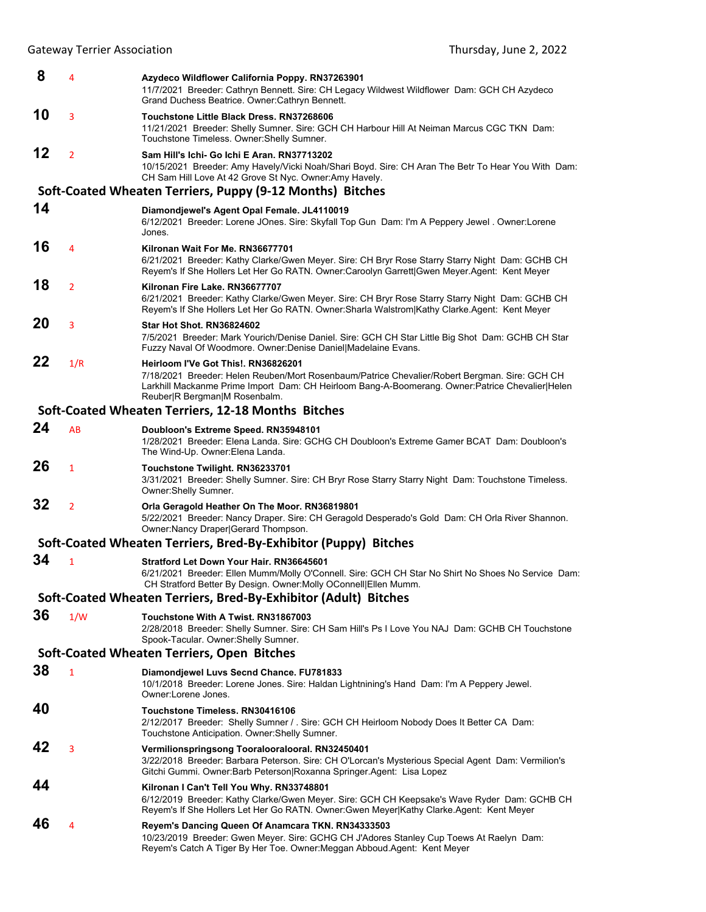| 8  | 4              | Azydeco Wildflower California Poppy. RN37263901<br>11/7/2021 Breeder: Cathryn Bennett. Sire: CH Legacy Wildwest Wildflower Dam: GCH CH Azydeco<br>Grand Duchess Beatrice. Owner: Cathryn Bennett.                                                                        |
|----|----------------|--------------------------------------------------------------------------------------------------------------------------------------------------------------------------------------------------------------------------------------------------------------------------|
| 10 | 3              | Touchstone Little Black Dress, RN37268606<br>11/21/2021 Breeder: Shelly Sumner. Sire: GCH CH Harbour Hill At Neiman Marcus CGC TKN Dam:<br>Touchstone Timeless. Owner: Shelly Sumner.                                                                                    |
| 12 | $\overline{2}$ | Sam Hill's Ichi- Go Ichi E Aran. RN37713202<br>10/15/2021 Breeder: Amy Havely/Vicki Noah/Shari Boyd. Sire: CH Aran The Betr To Hear You With Dam:<br>CH Sam Hill Love At 42 Grove St Nyc. Owner: Amy Havely.                                                             |
|    |                | Soft-Coated Wheaten Terriers, Puppy (9-12 Months) Bitches                                                                                                                                                                                                                |
| 14 |                | Diamondjewel's Agent Opal Female. JL4110019<br>6/12/2021 Breeder: Lorene JOnes. Sire: Skyfall Top Gun Dam: I'm A Peppery Jewel . Owner: Lorene<br>Jones.                                                                                                                 |
| 16 | 4              | Kilronan Wait For Me. RN36677701<br>6/21/2021 Breeder: Kathy Clarke/Gwen Meyer. Sire: CH Bryr Rose Starry Starry Night Dam: GCHB CH<br>Reyem's If She Hollers Let Her Go RATN. Owner:Caroolyn Garrett Gwen Meyer.Agent: Kent Meyer                                       |
| 18 | $\overline{2}$ | Kilronan Fire Lake, RN36677707<br>6/21/2021 Breeder: Kathy Clarke/Gwen Meyer. Sire: CH Bryr Rose Starry Starry Night Dam: GCHB CH<br>Reyem's If She Hollers Let Her Go RATN. Owner: Sharla Walstrom   Kathy Clarke. Agent: Kent Meyer                                    |
| 20 | 3              | <b>Star Hot Shot, RN36824602</b><br>7/5/2021 Breeder: Mark Yourich/Denise Daniel. Sire: GCH CH Star Little Big Shot Dam: GCHB CH Star<br>Fuzzy Naval Of Woodmore. Owner: Denise Daniel Madelaine Evans.                                                                  |
| 22 | 1/R            | Heirloom I'Ve Got This!. RN36826201<br>7/18/2021 Breeder: Helen Reuben/Mort Rosenbaum/Patrice Chevalier/Robert Bergman. Sire: GCH CH<br>Larkhill Mackanme Prime Import Dam: CH Heirloom Bang-A-Boomerang. Owner:Patrice Chevalier Helen<br>Reuber R Bergman M Rosenbalm. |
|    |                | Soft-Coated Wheaten Terriers, 12-18 Months Bitches                                                                                                                                                                                                                       |
| 24 | AB             | Doubloon's Extreme Speed. RN35948101<br>1/28/2021 Breeder: Elena Landa. Sire: GCHG CH Doubloon's Extreme Gamer BCAT Dam: Doubloon's<br>The Wind-Up. Owner: Elena Landa.                                                                                                  |
| 26 | 1              | Touchstone Twilight. RN36233701<br>3/31/2021 Breeder: Shelly Sumner. Sire: CH Bryr Rose Starry Starry Night Dam: Touchstone Timeless.<br>Owner: Shelly Sumner.                                                                                                           |
| 32 | $\overline{2}$ | Orla Geragold Heather On The Moor. RN36819801<br>5/22/2021 Breeder: Nancy Draper. Sire: CH Geragold Desperado's Gold Dam: CH Orla River Shannon.<br>Owner: Nancy Draper Gerard Thompson.                                                                                 |
|    |                | Soft-Coated Wheaten Terriers, Bred-By-Exhibitor (Puppy) Bitches                                                                                                                                                                                                          |
| 34 | 1              | Stratford Let Down Your Hair. RN36645601<br>6/21/2021 Breeder: Ellen Mumm/Molly O'Connell. Sire: GCH CH Star No Shirt No Shoes No Service Dam:<br>CH Stratford Better By Design. Owner:Molly OConnell Ellen Mumm.                                                        |
|    |                | Soft-Coated Wheaten Terriers, Bred-By-Exhibitor (Adult) Bitches                                                                                                                                                                                                          |
| 36 | 1/W            | Touchstone With A Twist. RN31867003<br>2/28/2018 Breeder: Shelly Sumner. Sire: CH Sam Hill's Ps I Love You NAJ Dam: GCHB CH Touchstone<br>Spook-Tacular. Owner: Shelly Sumner.                                                                                           |
|    |                | Soft-Coated Wheaten Terriers, Open Bitches                                                                                                                                                                                                                               |
| 38 | $\mathbf{1}$   | Diamondjewel Luvs Secnd Chance. FU781833<br>10/1/2018 Breeder: Lorene Jones. Sire: Haldan Lightnining's Hand Dam: I'm A Peppery Jewel.<br>Owner:Lorene Jones.                                                                                                            |
| 40 |                | Touchstone Timeless, RN30416106<br>2/12/2017 Breeder: Shelly Sumner / . Sire: GCH CH Heirloom Nobody Does It Better CA Dam:<br>Touchstone Anticipation. Owner: Shelly Sumner.                                                                                            |
| 42 | 3              | Vermilionspringsong Tooralooralooral. RN32450401<br>3/22/2018 Breeder: Barbara Peterson. Sire: CH O'Lorcan's Mysterious Special Agent Dam: Vermilion's<br>Gitchi Gummi. Owner:Barb Peterson Roxanna Springer.Agent: Lisa Lopez                                           |
| 44 |                | Kilronan I Can't Tell You Why. RN33748801<br>6/12/2019 Breeder: Kathy Clarke/Gwen Meyer. Sire: GCH CH Keepsake's Wave Ryder Dam: GCHB CH<br>Reyem's If She Hollers Let Her Go RATN. Owner:Gwen Meyer Kathy Clarke.Agent: Kent Meyer                                      |
| 46 | 4              | Reyem's Dancing Queen Of Anamcara TKN. RN34333503<br>10/23/2019 Breeder: Gwen Meyer. Sire: GCHG CH J'Adores Stanley Cup Toews At Raelyn Dam:<br>Reyem's Catch A Tiger By Her Toe. Owner: Meggan Abboud. Agent: Kent Meyer                                                |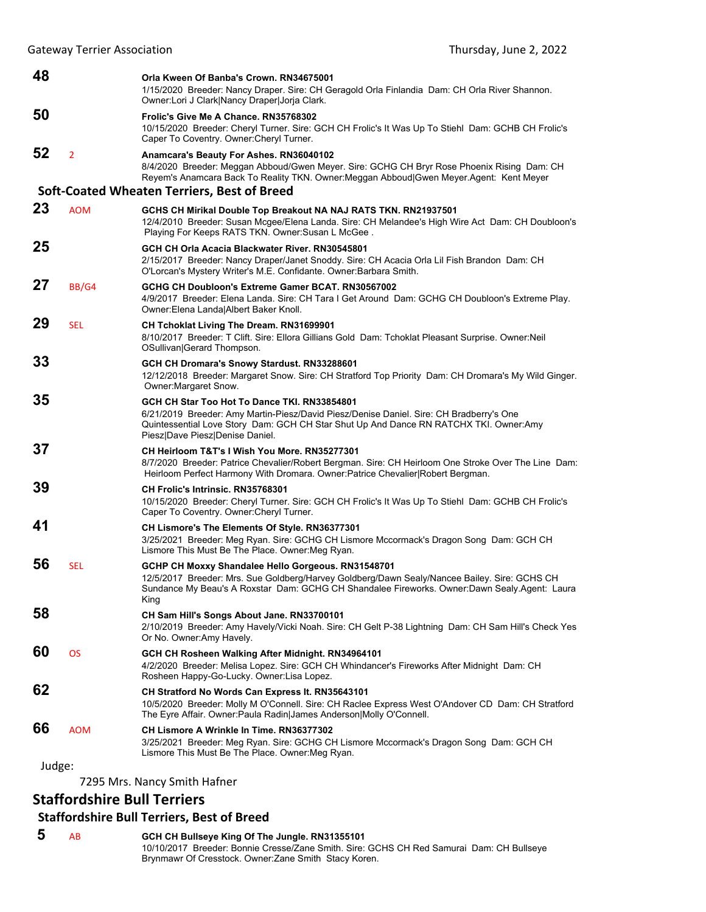| 48 |                | Orla Kween Of Banba's Crown, RN34675001<br>1/15/2020 Breeder: Nancy Draper. Sire: CH Geragold Orla Finlandia Dam: CH Orla River Shannon.<br>Owner:Lori J Clark Nancy Draper Jorja Clark.                                                                            |
|----|----------------|---------------------------------------------------------------------------------------------------------------------------------------------------------------------------------------------------------------------------------------------------------------------|
| 50 |                | Frolic's Give Me A Chance. RN35768302<br>10/15/2020 Breeder: Cheryl Turner. Sire: GCH CH Frolic's It Was Up To Stiehl Dam: GCHB CH Frolic's<br>Caper To Coventry. Owner: Cheryl Turner.                                                                             |
| 52 | $\overline{2}$ | Anamcara's Beauty For Ashes. RN36040102<br>8/4/2020 Breeder: Meggan Abboud/Gwen Meyer. Sire: GCHG CH Bryr Rose Phoenix Rising Dam: CH<br>Reyem's Anamcara Back To Reality TKN. Owner: Meggan Abboud Gwen Meyer. Agent: Kent Meyer                                   |
|    |                | Soft-Coated Wheaten Terriers, Best of Breed                                                                                                                                                                                                                         |
| 23 | <b>AOM</b>     | GCHS CH Mirikal Double Top Breakout NA NAJ RATS TKN. RN21937501<br>12/4/2010 Breeder: Susan Mcgee/Elena Landa. Sire: CH Melandee's High Wire Act Dam: CH Doubloon's<br>Playing For Keeps RATS TKN. Owner: Susan L McGee.                                            |
| 25 |                | GCH CH Orla Acacia Blackwater River, RN30545801<br>2/15/2017 Breeder: Nancy Draper/Janet Snoddy. Sire: CH Acacia Orla Lil Fish Brandon Dam: CH<br>O'Lorcan's Mystery Writer's M.E. Confidante. Owner: Barbara Smith.                                                |
| 27 | BB/G4          | GCHG CH Doubloon's Extreme Gamer BCAT, RN30567002<br>4/9/2017 Breeder: Elena Landa. Sire: CH Tara I Get Around Dam: GCHG CH Doubloon's Extreme Play.<br>Owner: Elena Landa Albert Baker Knoll.                                                                      |
| 29 | <b>SEL</b>     | CH Tchoklat Living The Dream. RN31699901<br>8/10/2017 Breeder: T Clift. Sire: Ellora Gillians Gold Dam: Tchoklat Pleasant Surprise. Owner: Neil<br>OSullivan Gerard Thompson.                                                                                       |
| 33 |                | GCH CH Dromara's Snowy Stardust. RN33288601<br>12/12/2018 Breeder: Margaret Snow. Sire: CH Stratford Top Priority Dam: CH Dromara's My Wild Ginger.<br>Owner: Margaret Snow.                                                                                        |
| 35 |                | GCH CH Star Too Hot To Dance TKI, RN33854801<br>6/21/2019 Breeder: Amy Martin-Piesz/David Piesz/Denise Daniel. Sire: CH Bradberry's One<br>Quintessential Love Story Dam: GCH CH Star Shut Up And Dance RN RATCHX TKI. Owner:Amy<br>Piesz Dave Piesz Denise Daniel. |
| 37 |                | CH Heirloom T&T's I Wish You More, RN35277301<br>8/7/2020 Breeder: Patrice Chevalier/Robert Bergman. Sire: CH Heirloom One Stroke Over The Line Dam:<br>Heirloom Perfect Harmony With Dromara. Owner:Patrice Chevalier Robert Bergman.                              |
| 39 |                | <b>CH Frolic's Intrinsic, RN35768301</b><br>10/15/2020 Breeder: Cheryl Turner. Sire: GCH CH Frolic's It Was Up To Stiehl Dam: GCHB CH Frolic's<br>Caper To Coventry. Owner: Cheryl Turner.                                                                          |
| 41 |                | CH Lismore's The Elements Of Style. RN36377301<br>3/25/2021 Breeder: Meg Ryan. Sire: GCHG CH Lismore Mccormack's Dragon Song Dam: GCH CH<br>Lismore This Must Be The Place. Owner: Meg Ryan.                                                                        |
| 56 | <b>SEL</b>     | GCHP CH Moxxy Shandalee Hello Gorgeous. RN31548701<br>12/5/2017 Breeder: Mrs. Sue Goldberg/Harvey Goldberg/Dawn Sealy/Nancee Bailey. Sire: GCHS CH<br>Sundance My Beau's A Roxstar Dam: GCHG CH Shandalee Fireworks. Owner:Dawn Sealy.Agent: Laura<br>King          |
| 58 |                | CH Sam Hill's Songs About Jane. RN33700101<br>2/10/2019 Breeder: Amy Havely/Vicki Noah. Sire: CH Gelt P-38 Lightning Dam: CH Sam Hill's Check Yes<br>Or No. Owner: Amy Havely.                                                                                      |
| 60 | <b>OS</b>      | GCH CH Rosheen Walking After Midnight. RN34964101<br>4/2/2020 Breeder: Melisa Lopez. Sire: GCH CH Whindancer's Fireworks After Midnight Dam: CH<br>Rosheen Happy-Go-Lucky. Owner: Lisa Lopez.                                                                       |
| 62 |                | CH Stratford No Words Can Express It. RN35643101<br>10/5/2020 Breeder: Molly M O'Connell. Sire: CH Raclee Express West O'Andover CD Dam: CH Stratford<br>The Eyre Affair. Owner: Paula Radin James Anderson Molly O'Connell.                                        |
| 66 | <b>AOM</b>     | CH Lismore A Wrinkle In Time, RN36377302<br>3/25/2021 Breeder: Meg Ryan. Sire: GCHG CH Lismore Mccormack's Dragon Song Dam: GCH CH<br>Lismore This Must Be The Place. Owner: Meg Ryan.                                                                              |

7295 Mrs. Nancy Smith Hafner

## **Staffordshire Bull Terriers**

## **Staffordshire Bull Terriers, Best of Breed**

 **5** AB **GCH CH Bullseye King Of The Jungle. RN31355101** 10/10/2017 Breeder: Bonnie Cresse/Zane Smith. Sire: GCHS CH Red Samurai Dam: CH Bullseye Brynmawr Of Cresstock. Owner:Zane Smith Stacy Koren.